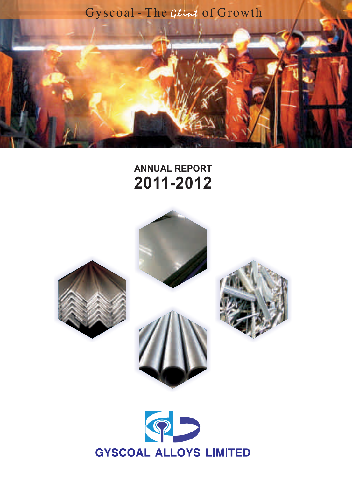

# **ANNUAL REPORT 2011-2012**







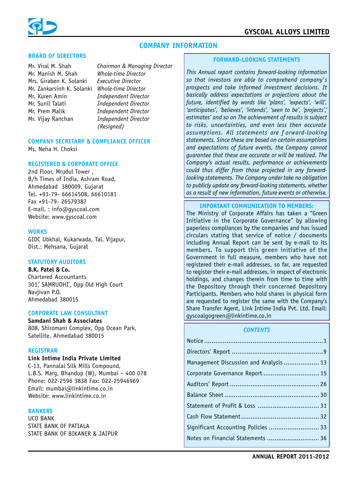

# **COMPANY INFORMATION**

#### **BOARD OF DIRECTORS**

Mr. Viral M. Shah Mr. Manish M. Shah *Whole-time Director* Mrs. Giraben K. Solanki Mr. Zankarsinh K. Solanki *Whole-time Director* Mr. Kuren Amin *Independent Director* Mr. Sunil Talati *Independent Director* Mr. Prem Malik *Independent Director* Mr. Vijay Ranchan *Independent Director*

*Chairman & Managing Director (Resigned)*

# **COMPANY SECRETARY & COMPLIANCE OFFICER**

Ms. Neha H. Choksi

#### **REGISTERED & CORPORATE OFFICE**

2nd Floor, Mrudul Tower , B/h Times of India, Ashram Road, Ahmedabad 380009, Gujarat Tel. +91-79- 66614508, 66610181 Fax +91-79- 26579387 E-mail. : info@gyscoal.com Website: www.gyscoal.com

#### **WORKS**

GIDC Ubkhal, Kukarwada, Tal. Vijapur, Dist.: Mehsana, Gujarat

#### **STATUTORY AUDITORS**

# **B.K. Patel & Co.**

Chartered Accountants 301,' SAMRUDHI', Opp Old High Court Navjivan P.O. Ahmedabad 380015

#### **CORPORATE LAW CONSULTANT**

# **Samdani Shah & Associates**

808, Shiromani Complex, Opp Ocean Park, Satellite, Ahmedabad 380015

#### **REGISTRAR**

#### **Link Intime India Private Limited**

C-13, Pannalal Silk Mills Compound, L.B.S. Marg, Bhandup (W), Mumbai – 400 078 Phone: 022-2596 3838 Fax: 022-25946969 Email: mumbai@linkintime.co.in Website: www.linkintime.co.in

#### **BANKERS**

UCO BANK STATE BANK OF PATIALA STATE BANK OF BIKANER & JAIPUR

#### **FORWARD-LOOKING STATEMENTS**

*This Annual report contains forward-looking information so that investors are able to comprehend company's prospects and take informed investment decisions. It basically address expectations or projections about the future, identified by words like 'plans', 'expects', 'will', 'anticipates', 'believes', 'intends', 'seen to be', 'projects',' estimates' and so on The achievement of results is subject to risks, uncertainties, and even less then accurate assumptions. All statements are f orward-looking statements. Since these are based on certain assumptions and expectations of future events, the Company cannot guarantee that these are accurate or will be realized. The Company's actual results, performance or achievements could thus differ from those projected in any forwardlooking statements. The Company under take no obligation to publicly update any forward-looking statements, whether as a result of new information, future events or otherwise.*

## **IMPORTANT COMMUNICATION TO MEMBERS:**

The Ministry of Corporate Affairs has taken a "Green Initiative in the Corporate Governance" by allowing paperless compliances by the companies and has issued circulars stating that service of notice / documents including Annual Report can be sent by e-mail to its members. To support this green initiative of the Government in full measure, members who have not registered their e-mail addresses, so far, are requested to register their e-mail addresses, in respect of electronic holdings, and changes therein from time to time with the Depository through their concerned Depository Participants. Members who hold shares in physical form are requested to register the same with the Company's Share Transfer Agent, Link Intime India Pvt. Ltd. Email: gyscoalgogreen@linkintime.co.in

#### *CONTENTS*

| Management Discussion and Analysis 13 |  |
|---------------------------------------|--|
|                                       |  |
|                                       |  |
|                                       |  |
|                                       |  |
|                                       |  |
| Significant Accounting Policies  33   |  |
| Notes on Financial Statements  36     |  |
|                                       |  |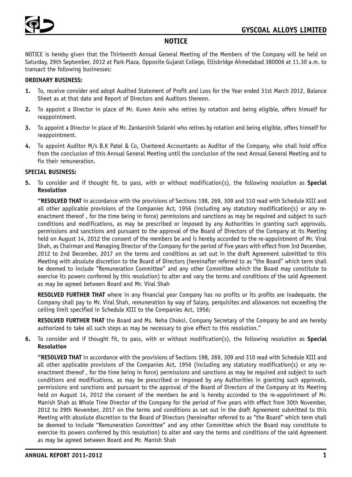# **NOTICE**

NOTICE is hereby given that the Thirteenth Annual General Meeting of the Members of the Company will be held on Saturday, 29th September, 2012 at Park Plaza, Opposite Gujarat College, Ellisbridge Ahmedabad 380006 at 11.30 a.m. to transact the following businesses:

# **ORDINARY BUSINESS:**

- **1.** To, receive consider and adopt Audited Statement of Profit and Loss for the Year ended 31st March 2012, Balance Sheet as at that date and Report of Directors and Auditors thereon.
- **2.** To appoint a Director in place of Mr. Kuren Amin who retires by rotation and being eligible, offers himself for reappointment.
- **3.** To appoint a Director in place of Mr. Zankarsinh Solanki who retires by rotation and being eligible, offers himself for reappointment.
- **4.** To appoint Auditor M/s B.K Patel & Co, Chartered Accountants as Auditor of the Company, who shall hold office from the conclusion of this Annual General Meeting until the conclusion of the next Annual General Meeting and to fix their remuneration.

# **SPECIAL BUSINESS:**

**5.** To consider and if thought fit, to pass, with or without modification(s), the following resolution as **Special Resolution**

**"RESOLVED THAT** in accordance with the provisions of Sections 198, 269, 309 and 310 read with Schedule XIII and all other applicable provisions of the Companies Act, 1956 (including any statutory modification(s) or any reenactment thereof , for the time being in force) permissions and sanctions as may be required and subject to such conditions and modifications, as may be prescribed or imposed by any Authorities in granting such approvals, permissions and sanctions and pursuant to the approval of the Board of Directors of the Company at its Meeting held on August 14, 2012 the consent of the members be and is hereby accorded to the re-appointment of Mr. Viral Shah, as Chairman and Managing Director of the Company for the period of five years with effect from 3rd December, 2012 to 2nd December, 2017 on the terms and conditions as set out in the draft Agreement submitted to this Meeting with absolute discretion to the Board of Directors (hereinafter referred to as "the Board" which term shall be deemed to include "Remuneration Committee" and any other Committee which the Board may constitute to exercise its powers conferred by this resolution) to alter and vary the terms and conditions of the said Agreement as may be agreed between Board and Mr. Viral Shah

**RESOLVED FURTHER THAT** where in any financial year Company has no profits or its profits are inadequate, the Company shall pay to Mr. Viral Shah, remuneration by way of Salary, perquisites and allowances not exceeding the ceiling limit specified in Schedule XIII to the Companies Act, 1956;

**RESOLVED FURTHER THAT** the Board and Ms. Neha Choksi, Company Secretary of the Company be and are hereby authorized to take all such steps as may be necessary to give effect to this resolution."

**6.** To consider and if thought fit, to pass, with or without modification(s), the following resolution as **Special Resolution**

**"RESOLVED THAT** in accordance with the provisions of Sections 198, 269, 309 and 310 read with Schedule XIII and all other applicable provisions of the Companies Act, 1956 (including any statutory modification(s) or any reenactment thereof , for the time being in force) permissions and sanctions as may be required and subject to such conditions and modifications, as may be prescribed or imposed by any Authorities in granting such approvals, permissions and sanctions and pursuant to the approval of the Board of Directors of the Company at its Meeting held on August 14, 2012 the consent of the members be and is hereby accorded to the re-appointment of Mr. Manish Shah as Whole Time Director of the Company for the period of five years with effect from 30th November, 2012 to 29th November, 2017 on the terms and conditions as set out in the draft Agreement submitted to this Meeting with absolute discretion to the Board of Directors (hereinafter referred to as "the Board" which term shall be deemed to include "Remuneration Committee" and any other Committee which the Board may constitute to exercise its powers conferred by this resolution) to alter and vary the terms and conditions of the said Agreement as may be agreed between Board and Mr. Manish Shah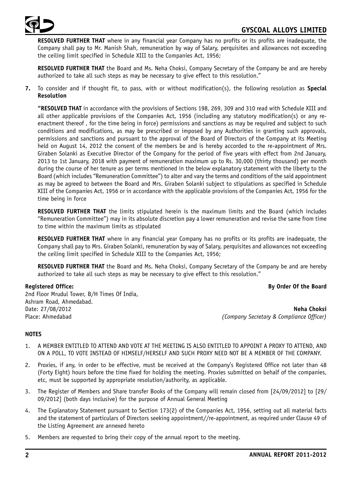

**RESOLVED FURTHER THAT** where in any financial year Company has no profits or its profits are inadequate, the Company shall pay to Mr. Manish Shah, remuneration by way of Salary, perquisites and allowances not exceeding the ceiling limit specified in Schedule XIII to the Companies Act, 1956;

**RESOLVED FURTHER THAT** the Board and Ms. Neha Choksi, Company Secretary of the Company be and are hereby authorized to take all such steps as may be necessary to give effect to this resolution."

**7.** To consider and if thought fit, to pass, with or without modification(s), the following resolution as **Special Resolution**

**"RESOLVED THAT** in accordance with the provisions of Sections 198, 269, 309 and 310 read with Schedule XIII and all other applicable provisions of the Companies Act, 1956 (including any statutory modification(s) or any reenactment thereof , for the time being in force) permissions and sanctions as may be required and subject to such conditions and modifications, as may be prescribed or imposed by any Authorities in granting such approvals, permissions and sanctions and pursuant to the approval of the Board of Directors of the Company at its Meeting held on August 14, 2012 the consent of the members be and is hereby accorded to the re-appointment of Mrs. Giraben Solanki as Executive Director of the Company for the period of five years with effect from 2nd January, 2013 to 1st January, 2018 with payment of remuneration maximum up to Rs. 30,000 (thirty thousand) per month during the course of her tenure as per terms mentioned in the below explanatory statement with the liberty to the Board (which includes "Remuneration Committee") to alter and vary the terms and conditions of the said appointment as may be agreed to between the Board and Mrs. Giraben Solanki subject to stipulations as specified in Schedule XIII of the Companies Act, 1956 or in accordance with the applicable provisions of the Companies Act, 1956 for the time being in force

**RESOLVED FURTHER THAT** the limits stipulated herein is the maximum limits and the Board (which includes "Remuneration Committee") may in its absolute discretion pay a lower remuneration and revise the same from time to time within the maximum limits as stipulated

**RESOLVED FURTHER THAT** where in any financial year Company has no profits or its profits are inadequate, the Company shall pay to Mrs. Giraben Solanki, remuneration by way of Salary, perquisites and allowances not exceeding the ceiling limit specified in Schedule XIII to the Companies Act, 1956;

**RESOLVED FURTHER THAT** the Board and Ms. Neha Choksi, Company Secretary of the Company be and are hereby authorized to take all such steps as may be necessary to give effect to this resolution."

## **Registered Office: By Order Of the Board**

2nd Floor Mrudul Tower, B/H Times Of India, Ashram Road, Ahmedabad. Date: 27/08/2012 **Neha Choksi**

Place: Ahmedabad *(Company Secretary & Compliance Officer)*

# **NOTES**

- 1. A MEMBER ENTITLED TO ATTEND AND VOTE AT THE MEETING IS ALSO ENTITLED TO APPOINT A PROXY TO ATTEND, AND ON A POLL, TO VOTE INSTEAD OF HIMSELF/HERSELF AND SUCH PROXY NEED NOT BE A MEMBER OF THE COMPANY.
- 2. Proxies, if any, in order to be effective, must be received at the Company's Registered Office not later than 48 (Forty Eight) hours before the time fixed for holding the meeting. Proxies submitted on behalf of the companies, etc, must be supported by appropriate resolution/authority, as applicable.
- 3. The Register of Members and Share transfer Books of the Company will remain closed from [24/09/2012] to [29/ 09/2012] (both days inclusive) for the purpose of Annual General Meeting
- 4. The Explanatory Statement pursuant to Section 173(2) of the Companies Act, 1956, setting out all material facts and the statement of particulars of Directors seeking appointment//re-appointment, as required under Clause 49 of the Listing Agreement are annexed hereto
- 5. Members are requested to bring their copy of the annual report to the meeting.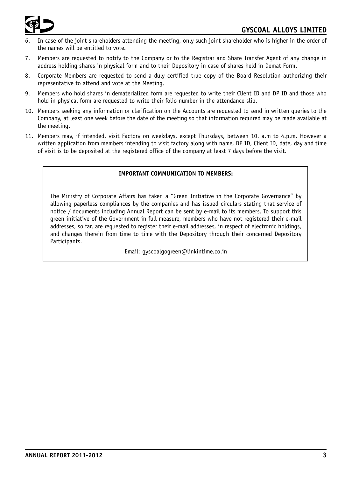



- In case of the joint shareholders attending the meeting, only such joint shareholder who is higher in the order of the names will be entitled to vote.
- 7. Members are requested to notify to the Company or to the Registrar and Share Transfer Agent of any change in address holding shares in physical form and to their Depository in case of shares held in Demat Form.
- 8. Corporate Members are requested to send a duly certified true copy of the Board Resolution authorizing their representative to attend and vote at the Meeting.
- 9. Members who hold shares in dematerialized form are requested to write their Client ID and DP ID and those who hold in physical form are requested to write their folio number in the attendance slip.
- 10. Members seeking any information or clarification on the Accounts are requested to send in written queries to the Company, at least one week before the date of the meeting so that information required may be made available at the meeting.
- 11. Members may, if intended, visit Factory on weekdays, except Thursdays, between 10. a.m to 4.p.m. However a written application from members intending to visit factory along with name, DP ID, Client ID, date, day and time of visit is to be deposited at the registered office of the company at least 7 days before the visit.

# **IMPORTANT COMMUNICATION TO MEMBERS:**

The Ministry of Corporate Affairs has taken a "Green Initiative in the Corporate Governance" by allowing paperless compliances by the companies and has issued circulars stating that service of notice / documents including Annual Report can be sent by e-mail to its members. To support this green initiative of the Government in full measure, members who have not registered their e-mail addresses, so far, are requested to register their e-mail addresses, in respect of electronic holdings, and changes therein from time to time with the Depository through their concerned Depository Participants.

Email: gyscoalgogreen@linkintime.co.in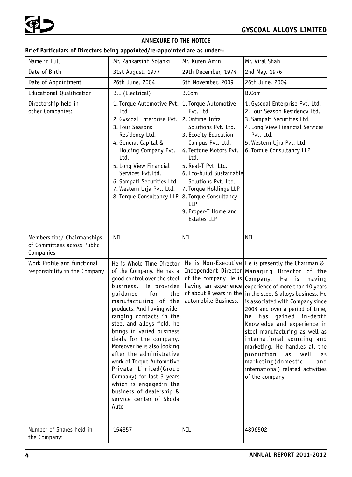# **ANNEXURE TO THE NOTICE**

# **Brief Particulars of Directors being appointed/re-appointed are as under:-**

| Name in Full                                                           | Mr. Zankarsinh Solanki                                                                                                                                                                                                                                                                                                                                                                                                                                                                                                                               | Mr. Kuren Amin                                                                                                                                                                                                                                                                                                                             | Mr. Viral Shah                                                                                                                                                                                                                                                                                                                                                                                                                                                                                                                                                                                            |
|------------------------------------------------------------------------|------------------------------------------------------------------------------------------------------------------------------------------------------------------------------------------------------------------------------------------------------------------------------------------------------------------------------------------------------------------------------------------------------------------------------------------------------------------------------------------------------------------------------------------------------|--------------------------------------------------------------------------------------------------------------------------------------------------------------------------------------------------------------------------------------------------------------------------------------------------------------------------------------------|-----------------------------------------------------------------------------------------------------------------------------------------------------------------------------------------------------------------------------------------------------------------------------------------------------------------------------------------------------------------------------------------------------------------------------------------------------------------------------------------------------------------------------------------------------------------------------------------------------------|
| Date of Birth                                                          | 31st August, 1977                                                                                                                                                                                                                                                                                                                                                                                                                                                                                                                                    | 29th December, 1974                                                                                                                                                                                                                                                                                                                        | 2nd May, 1976                                                                                                                                                                                                                                                                                                                                                                                                                                                                                                                                                                                             |
| Date of Appointment                                                    | 26th June, 2004                                                                                                                                                                                                                                                                                                                                                                                                                                                                                                                                      | 5th November, 2009                                                                                                                                                                                                                                                                                                                         | 26th June, 2004                                                                                                                                                                                                                                                                                                                                                                                                                                                                                                                                                                                           |
| Educational Qualification                                              | B.E (Electrical)                                                                                                                                                                                                                                                                                                                                                                                                                                                                                                                                     | B.Com                                                                                                                                                                                                                                                                                                                                      | B.Com                                                                                                                                                                                                                                                                                                                                                                                                                                                                                                                                                                                                     |
| Directorship held in<br>other Companies:                               | 1. Torque Automotive Pvt.<br>Ltd<br>2. Gyscoal Enterprise Pvt.<br>3. Four Seasons<br>Residency Ltd.<br>4. General Capital &<br>Holding Company Pvt.<br>Ltd.<br>5. Long View Financial<br>Services Pvt.Ltd.<br>6. Sampati Securities Ltd.<br>7. Western Urja Pvt. Ltd.<br>8. Torque Consultancy LLP                                                                                                                                                                                                                                                   | 1. Torque Automotive<br>Pvt. Ltd<br>2. Ontime Infra<br>Solutions Pvt. Ltd.<br>3. Ecocity Education<br>Campus Pvt. Ltd.<br>4. Tectone Motors Pvt.<br>Ltd.<br>5. Real-T Pvt. Ltd.<br>6. Eco-build Sustainable<br>Solutions Pvt. Ltd.<br>7. Torque Holdings LLP<br>8. Torque Consultancy<br>LLP<br>9. Proper-T Home and<br><b>Estates LLP</b> | 1. Gyscoal Enterprise Pvt. Ltd.<br>2. Four Season Residency Ltd.<br>3. Sampati Securities Ltd.<br>4. Long View Financial Services<br>Pvt. Ltd.<br>5. Western Ujra Pvt. Ltd.<br>6. Torque Consultancy LLP                                                                                                                                                                                                                                                                                                                                                                                                  |
| Memberships/ Chairmanships<br>of Committees across Public<br>Companies | <b>NIL</b>                                                                                                                                                                                                                                                                                                                                                                                                                                                                                                                                           | NIL                                                                                                                                                                                                                                                                                                                                        | <b>NIL</b>                                                                                                                                                                                                                                                                                                                                                                                                                                                                                                                                                                                                |
| Work Profile and functional<br>responsibility in the Company           | He is Whole Time Director<br>of the Company. He has a<br>good control over the steel<br>business. He provides<br>quidance<br>for<br>the<br>manufacturing of the<br>products. And having wide-<br>ranging contacts in the<br>steel and alloys field, he<br>brings in varied business<br>deals for the company.<br>Moreover he is also looking<br>after the administrative<br>work of Torque Automotive<br>Private Limited(Group<br>Company) for last 3 years<br>which is engagedin the<br>business of dealership &<br>service center of Skoda<br>Auto | of the company He is Company.<br>automobile Business.                                                                                                                                                                                                                                                                                      | He is Non-Executive   He is presently the Chairman &<br>Independent Director   Managing Director of the<br>He is<br>having<br>having an experience experience of more than 10 years<br>of about 8 years in the  in the steel & alloys business. He<br>is associated with Company since<br>2004 and over a period of time,<br>he has gained in-depth<br>Knowledge and experience in<br>steel manufacturing as well as<br>international sourcing and<br>marketing. He handles all the<br>production<br>well<br>as<br>as<br>marketing(domestic<br>and<br>international) related activities<br>of the company |
| Number of Shares held in<br>the Company:                               | 154857                                                                                                                                                                                                                                                                                                                                                                                                                                                                                                                                               | NIL                                                                                                                                                                                                                                                                                                                                        | 4896502                                                                                                                                                                                                                                                                                                                                                                                                                                                                                                                                                                                                   |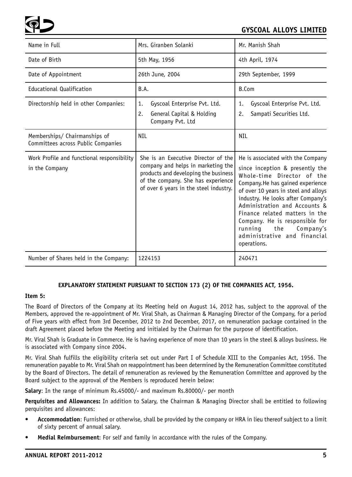

| Name in Full                                                        | Mrs. Giranben Solanki                                                                                                                                                                             | Mr. Manish Shah                                                                                                                                                                                                                                                                                                                                                                                         |
|---------------------------------------------------------------------|---------------------------------------------------------------------------------------------------------------------------------------------------------------------------------------------------|---------------------------------------------------------------------------------------------------------------------------------------------------------------------------------------------------------------------------------------------------------------------------------------------------------------------------------------------------------------------------------------------------------|
| Date of Birth                                                       | 5th May, 1956                                                                                                                                                                                     | 4th April, 1974                                                                                                                                                                                                                                                                                                                                                                                         |
| Date of Appointment                                                 | 26th June, 2004                                                                                                                                                                                   | 29th September, 1999                                                                                                                                                                                                                                                                                                                                                                                    |
| Educational Qualification                                           | B.A.                                                                                                                                                                                              | B.Com                                                                                                                                                                                                                                                                                                                                                                                                   |
| Directorship held in other Companies:                               | Gyscoal Enterprise Pvt. Ltd.<br>1.<br>2.<br>General Capital & Holding<br>Company Pvt. Ltd                                                                                                         | Gyscoal Enterprise Pvt. Ltd.<br>1.<br>Sampati Securities Ltd.<br>2.                                                                                                                                                                                                                                                                                                                                     |
| Memberships/ Chairmanships of<br>Committees across Public Companies | <b>NIL</b>                                                                                                                                                                                        | <b>NIL</b>                                                                                                                                                                                                                                                                                                                                                                                              |
|                                                                     |                                                                                                                                                                                                   |                                                                                                                                                                                                                                                                                                                                                                                                         |
| Work Profile and functional responsibility<br>in the Company        | She is an Executive Director of the<br>company and helps in marketing the<br>products and developing the business<br>of the company. She has experience<br>of over 6 years in the steel industry. | He is associated with the Company<br>since inception & presently the<br>Whole-time Director of the<br>Company.He has gained experience<br>of over 10 years in steel and alloys<br>industry. He looks after Company's<br>Administration and Accounts &<br>Finance related matters in the<br>Company. He is responsible for<br>running<br>the<br>Company's<br>administrative and financial<br>operations. |

## **EXPLANATORY STATEMENT PURSUANT TO SECTION 173 (2) OF THE COMPANIES ACT, 1956.**

#### **Item 5:**

The Board of Directors of the Company at its Meeting held on August 14, 2012 has, subject to the approval of the Members, approved the re-appointment of Mr. Viral Shah, as Chairman & Managing Director of the Company, for a period of Five years with effect from 3rd December, 2012 to 2nd December, 2017, on remuneration package contained in the draft Agreement placed before the Meeting and initialed by the Chairman for the purpose of identification.

Mr. Viral Shah is Graduate in Commerce. He is having experience of more than 10 years in the steel & alloys business. He is associated with Company since 2004.

Mr. Viral Shah fulfills the eligibility criteria set out under Part I of Schedule XIII to the Companies Act, 1956. The remuneration payable to Mr. Viral Shah on reappointment has been determined by the Remuneration Committee constituted by the Board of Directors. The detail of remuneration as reviewed by the Remuneration Committee and approved by the Board subject to the approval of the Members is reproduced herein below:

**Salary**: In the range of minimum Rs.45000/- and maximum Rs.80000/- per month

**Perquisites and Allowances:** In addition to Salary, the Chairman & Managing Director shall be entitled to following perquisites and allowances:

- **Accommodation**: Furnished or otherwise, shall be provided by the company or HRA in lieu thereof subject to a limit of sixty percent of annual salary.
- **Medial Reimbursement**: For self and family in accordance with the rules of the Company.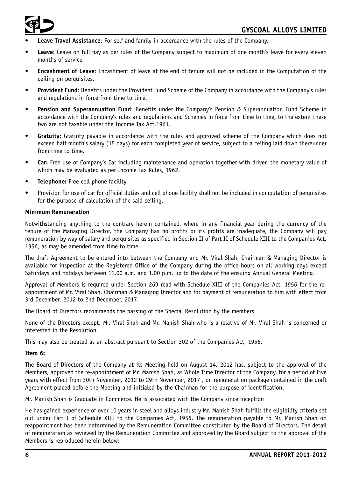

- **Leave Travel Assistance**: For self and family in accordance with the rules of the Company.
- **Leave**: Leave on full pay as per rules of the Company subject to maximum of one month's leave for every eleven months of service
- **Encashment of Leave**: Encashment of leave at the end of tenure will not be included in the Computation of the ceiling on perquisites.
- **Provident Fund**: Benefits under the Provident Fund Scheme of the Company in accordance with the Company's rules and regulations in force from time to time.
- **Pension and Superannuation Fund**: Benefits under the Company's Pension & Superannuation Fund Scheme in accordance with the Company's rules and regulations and Schemes in force from time to time, to the extent these two are not taxable under the Income Tax Act,1961.
- **Gratuity**: Gratuity payable in accordance with the rules and approved scheme of the Company which does not exceed half month's salary (15 days) for each completed year of service, subject to a ceiling laid down thereunder from time to time.
- **Car:** Free use of Company's Car including maintenance and operation together with driver, the monetary value of which may be evaluated as per Income Tax Rules, 1962.
- **Telephone:** Free cell phone facility.
- Provision for use of car for official duties and cell phone facility shall not be included in computation of perquisites for the purpose of calculation of the said ceiling.

#### **Minimum Remuneration**

Notwithstanding anything to the contrary herein contained, where in any financial year during the currency of the tenure of the Managing Director, the Company has no profits or its profits are inadequate, the Company will pay remuneration by way of salary and perquisites as specified in Section II of Part II of Schedule XIII to the Companies Act, 1956, as may be amended from time to time.

The draft Agreement to be entered into between the Company and Mr. Viral Shah, Chairman & Managing Director is available for inspection at the Registered Office of the Company during the office hours on all working days except Saturdays and holidays between 11.00 a.m. and 1.00 p.m. up to the date of the ensuing Annual General Meeting.

Approval of Members is required under Section 269 read with Schedule XIII of the Companies Act, 1956 for the reappointment of Mr. Viral Shah, Chairman & Managing Director and for payment of remuneration to him with effect from 3rd December, 2012 to 2nd December, 2017.

The Board of Directors recommends the passing of the Special Resolution by the members

None of the Directors except, Mr. Viral Shah and Mr. Manish Shah who is a relative of Mr. Viral Shah is concerned or interested in the Resolution.

This may also be treated as an abstract pursuant to Section 302 of the Companies Act, 1956.

#### **Item 6:**

The Board of Directors of the Company at its Meeting held on August 14, 2012 has, subject to the approval of the Members, approved the re-appointment of Mr. Manish Shah, as Whole Time Director of the Company, for a period of Five years with effect from 30th November, 2012 to 29th November, 2017 , on remuneration package contained in the draft Agreement placed before the Meeting and initialed by the Chairman for the purpose of identification.

Mr. Manish Shah is Graduate in Commerce. He is associated with the Company since inception

He has gained experience of over 10 years in steel and alloys industry Mr. Manish Shah fulfills the eligibility criteria set out under Part I of Schedule XIII to the Companies Act, 1956. The remuneration payable to Mr. Manish Shah on reappointment has been determined by the Remuneration Committee constituted by the Board of Directors. The detail of remuneration as reviewed by the Remuneration Committee and approved by the Board subject to the approval of the Members is reproduced herein below: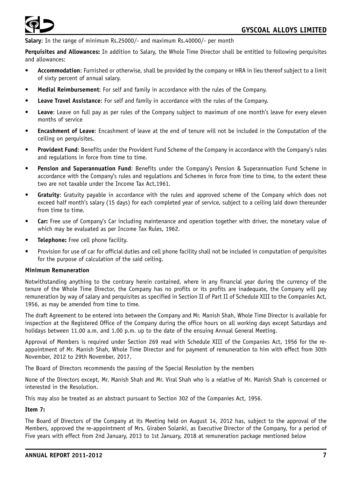**Salary**: In the range of minimum Rs.25000/- and maximum Rs.40000/- per month

**Perquisites and Allowances:** In addition to Salary, the Whole Time Director shall be entitled to following perquisites and allowances:

- **Accommodation**: Furnished or otherwise, shall be provided by the company or HRA in lieu thereof subject to a limit of sixty percent of annual salary.
- **Medial Reimbursement**: For self and family in accordance with the rules of the Company.
- **Leave Travel Assistance**: For self and family in accordance with the rules of the Company.
- **Leave**: Leave on full pay as per rules of the Company subject to maximum of one month's leave for every eleven months of service
- **Encashment of Leave**: Encashment of leave at the end of tenure will not be included in the Computation of the ceiling on perquisites.
- **Provident Fund**: Benefits under the Provident Fund Scheme of the Company in accordance with the Company's rules and regulations in force from time to time.
- **Pension and Superannuation Fund**: Benefits under the Company's Pension & Superannuation Fund Scheme in accordance with the Company's rules and regulations and Schemes in force from time to time, to the extent these two are not taxable under the Income Tax Act,1961.
- **Gratuity**: Gratuity payable in accordance with the rules and approved scheme of the Company which does not exceed half month's salary (15 days) for each completed year of service, subject to a ceiling laid down thereunder from time to time.
- **Car:** Free use of Company's Car including maintenance and operation together with driver, the monetary value of which may be evaluated as per Income Tax Rules, 1962.
- **Telephone:** Free cell phone facility.
- Provision for use of car for official duties and cell phone facility shall not be included in computation of perquisites for the purpose of calculation of the said ceiling.

#### **Minimum Remuneration**

Notwithstanding anything to the contrary herein contained, where in any financial year during the currency of the tenure of the Whole Time Director, the Company has no profits or its profits are inadequate, the Company will pay remuneration by way of salary and perquisites as specified in Section II of Part II of Schedule XIII to the Companies Act, 1956, as may be amended from time to time.

The draft Agreement to be entered into between the Company and Mr. Manish Shah, Whole Time Director is available for inspection at the Registered Office of the Company during the office hours on all working days except Saturdays and holidays between 11.00 a.m. and 1.00 p.m. up to the date of the ensuing Annual General Meeting.

Approval of Members is required under Section 269 read with Schedule XIII of the Companies Act, 1956 for the reappointment of Mr. Manish Shah, Whole Time Director and for payment of remuneration to him with effect from 30th November, 2012 to 29th November, 2017.

The Board of Directors recommends the passing of the Special Resolution by the members

None of the Directors except, Mr. Manish Shah and Mr. Viral Shah who is a relative of Mr. Manish Shah is concerned or interested in the Resolution.

This may also be treated as an abstract pursuant to Section 302 of the Companies Act, 1956.

# **Item 7:**

The Board of Directors of the Company at its Meeting held on August 14, 2012 has, subject to the approval of the Members, approved the re-appointment of Mrs. Giraben Solanki, as Executive Director of the Company, for a period of Five years with effect from 2nd January, 2013 to 1st January, 2018 at remuneration package mentioned below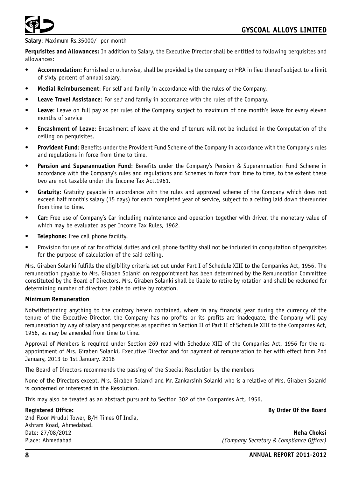

#### **Salary**: Maximum Rs.35000/- per month

**Perquisites and Allowances:** In addition to Salary, the Executive Director shall be entitled to following perquisites and allowances:

- **Accommodation**: Furnished or otherwise, shall be provided by the company or HRA in lieu thereof subject to a limit of sixty percent of annual salary.
- **Medial Reimbursement**: For self and family in accordance with the rules of the Company.
- **Leave Travel Assistance**: For self and family in accordance with the rules of the Company.
- **Leave**: Leave on full pay as per rules of the Company subject to maximum of one month's leave for every eleven months of service
- **Encashment of Leave**: Encashment of leave at the end of tenure will not be included in the Computation of the ceiling on perquisites.
- **Provident Fund**: Benefits under the Provident Fund Scheme of the Company in accordance with the Company's rules and regulations in force from time to time.
- **Pension and Superannuation Fund**: Benefits under the Company's Pension & Superannuation Fund Scheme in accordance with the Company's rules and regulations and Schemes in force from time to time, to the extent these two are not taxable under the Income Tax Act,1961.
- **Gratuity**: Gratuity payable in accordance with the rules and approved scheme of the Company which does not exceed half month's salary (15 days) for each completed year of service, subject to a ceiling laid down thereunder from time to time.
- **Car:** Free use of Company's Car including maintenance and operation together with driver, the monetary value of which may be evaluated as per Income Tax Rules, 1962.
- **Telephone:** Free cell phone facility.
- Provision for use of car for official duties and cell phone facility shall not be included in computation of perquisites for the purpose of calculation of the said ceiling.

Mrs. Giraben Solanki fulfills the eligibility criteria set out under Part I of Schedule XIII to the Companies Act, 1956. The remuneration payable to Mrs. Giraben Solanki on reappointment has been determined by the Remuneration Committee constituted by the Board of Directors. Mrs. Giraben Solanki shall be liable to retire by rotation and shall be reckoned for determining number of directors liable to retire by rotation.

#### **Minimum Remuneration**

Notwithstanding anything to the contrary herein contained, where in any financial year during the currency of the tenure of the Executive Director, the Company has no profits or its profits are inadequate, the Company will pay remuneration by way of salary and perquisites as specified in Section II of Part II of Schedule XIII to the Companies Act, 1956, as may be amended from time to time.

Approval of Members is required under Section 269 read with Schedule XIII of the Companies Act, 1956 for the reappointment of Mrs. Giraben Solanki, Executive Director and for payment of remuneration to her with effect from 2nd January, 2013 to 1st January, 2018

The Board of Directors recommends the passing of the Special Resolution by the members

None of the Directors except, Mrs. Giraben Solanki and Mr. Zankarsinh Solanki who is a relative of Mrs. Giraben Solanki is concerned or interested in the Resolution.

This may also be treated as an abstract pursuant to Section 302 of the Companies Act, 1956.

**Registered Office: By Order Of the Board**

2nd Floor Mrudul Tower, B/H Times Of India, Ashram Road, Ahmedabad. Date: 27/08/2012 **Neha Choksi** Place: Ahmedabad *(Company Secretary & Compliance Officer)*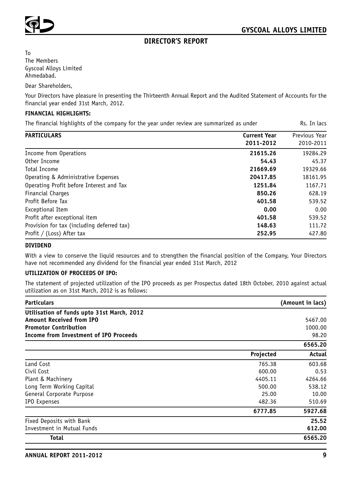

# **DIRECTOR'S REPORT**

To The Members Gyscoal Alloys Limited Ahmedabad.

Dear Shareholders,

Your Directors have pleasure in presenting the Thirteenth Annual Report and the Audited Statement of Accounts for the financial year ended 31st March, 2012.

## **FINANCIAL HIGHLIGHTS:**

The financial highlights of the company for the year under review are summarized as under Rs. In lacs

| <b>PARTICULARS</b>                         | <b>Current Year</b> | Previous Year |
|--------------------------------------------|---------------------|---------------|
|                                            | 2011-2012           | 2010-2011     |
| Income from Operations                     | 21615.26            | 19284.29      |
| Other Income                               | 54.43               | 45.37         |
| Total Income                               | 21669.69            | 19329.66      |
| Operating & Administrative Expenses        | 20417.85            | 18161.95      |
| Operating Profit before Interest and Tax   | 1251.84             | 1167.71       |
| Financial Charges                          | 850.26              | 628.19        |
| Profit Before Tax                          | 401.58              | 539.52        |
| Exceptional Item                           | 0.00                | 0.00          |
| Profit after exceptional item              | 401.58              | 539.52        |
| Provision for tax (including deferred tax) | 148.63              | 111.72        |
| Profit / (Loss) After tax                  | 252.95              | 427.80        |

#### **DIVIDEND**

With a view to conserve the liquid resources and to strengthen the financial position of the Company, Your Directors have not recommended any dividend for the financial year ended 31st March, 2012

#### **UTILIZATION OF PROCEEDS OF IPO:**

The statement of projected utilization of the IPO proceeds as per Prospectus dated 18th October, 2010 against actual utilization as on 31st March, 2012 is as follows:

| <b>Particulars</b>                            |           | (Amount in lacs) |
|-----------------------------------------------|-----------|------------------|
| Utilisation of funds upto 31st March, 2012    |           |                  |
| <b>Amount Received from IPO</b>               |           | 5467.00          |
| <b>Promotor Contribution</b>                  |           | 1000.00          |
| <b>Income from Investment of IPO Proceeds</b> |           | 98.20            |
|                                               |           | 6565.20          |
|                                               | Projected | Actual           |
| Land Cost                                     | 765.38    | 603.68           |
| Civil Cost                                    | 600.00    | 0.53             |
| Plant & Machinery                             | 4405.11   | 4264.66          |
| Long Term Working Capital                     | 500.00    | 538.12           |
| General Corporate Purpose                     | 25.00     | 10.00            |
| IPO Expenses                                  | 482.36    | 510.69           |
|                                               | 6777.85   | 5927.68          |
| Fixed Deposits with Bank                      |           | 25.52            |
| Investment in Mutual Funds                    |           | 612.00           |
| Total                                         |           | 6565.20          |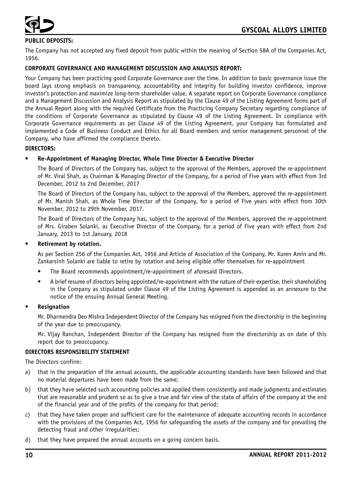

# **PUBLIC DEPOSITS:**

The Company has not accepted any fixed deposit from public within the meaning of Section 58A of the Companies Act, 1956.

# **CORPORATE GOVERNANCE AND MANAGEMENT DISCUSSION AND ANALYSIS REPORT:**

Your Company has been practicing good Corporate Governance over the time. In addition to basic governance issue the board lays strong emphasis on transparency, accountability and integrity for building investor confidence, improve investor's protection and maximize long-term shareholder value. A separate report on Corporate Governance compliance and a Management Discussion and Analysis Report as stipulated by the Clause 49 of the Listing Agreement forms part of the Annual Report along with the required Certificate from the Practicing Company Secretary regarding compliance of the conditions of Corporate Governance as stipulated by Clause 49 of the Listing Agreement. In compliance with Corporate Governance requirements as per Clause 49 of the Listing Agreement, your Company has formulated and implemented a Code of Business Conduct and Ethics for all Board members and senior management personnel of the Company, who have affirmed the compliance thereto.

#### **DIRECTORS:**

## • **Re-Appointment of Managing Director, Whole Time Director & Executive Director**

The Board of Directors of the Company has, subject to the approval of the Members, approved the re-appointment of Mr. Viral Shah, as Chairman & Managing Director of the Company, for a period of Five years with effect from 3rd December, 2012 to 2nd December, 2017

The Board of Directors of the Company has, subject to the approval of the Members, approved the re-appointment of Mr. Manish Shah, as Whole Time Director of the Company, for a period of Five years with effect from 30th November, 2012 to 29th November, 2017.

The Board of Directors of the Company has, subject to the approval of the Members, approved the re-appointment of Mrs. Giraben Solanki, as Executive Director of the Company, for a period of Five years with effect from 2nd January, 2013 to 1st January, 2018

## • **Retirement by rotation.**

As per Section 256 of the Companies Act, 1956 and Article of Association of the Company, Mr. Kuren Amin and Mr. Zankarsinh Solanki are liable to retire by rotation and being eligible offer themselves for re-appointment

- The Board recommends appointment/re-appointment of aforesaid Directors.
- A brief resume of directors being appointed/re-appointment with the nature of their expertise, their shareholding in the Company as stipulated under Clause 49 of the Listing Agreement is appended as an annexure to the notice of the ensuing Annual General Meeting.

#### • **Resignation**

Mr. Dharmendra Deo Mishra Independent Director of the Company has resigned from the directorship in the beginning of the year due to preoccupancy.

Mr. Vijay Ranchan, Independent Director of the Company has resigned from the directorship as on date of this report due to preoccupancy.

#### **DIRECTORS RESPONSIBILITY STATEMENT**

The Directors confirm:

- a) that in the preparation of the annual accounts, the applicable accounting standards have been followed and that no material departures have been made from the same;
- b) that they have selected such accounting policies and applied them consistently and made judgments and estimates that are reasonable and prudent so as to give a true and fair view of the state of affairs of the company at the end of the financial year and of the profits of the company for that period;
- c) that they have taken proper and sufficient care for the maintenance of adequate accounting records in accordance with the provisions of the Companies Act, 1956 for safeguarding the assets of the company and for prevailing the detecting fraud and other irregularities;
- d) that they have prepared the annual accounts on a going concern basis.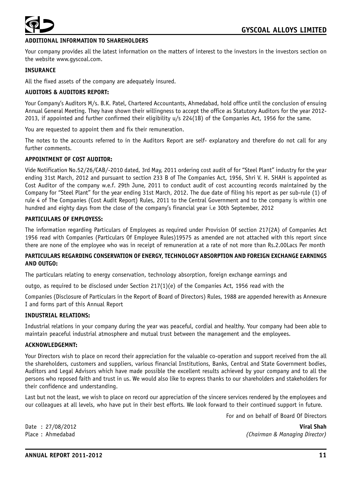

# **DITIONAL INFORMATION TO SHAREHOLDERS**

Your company provides all the latest information on the matters of interest to the investors in the investors section on the website www.gyscoal.com.

#### **INSURANCE**

All the fixed assets of the company are adequately insured.

#### **AUDITORS & AUDITORS REPORT:**

Your Company's Auditors M/s. B.K. Patel, Chartered Accountants, Ahmedabad, hold office until the conclusion of ensuing Annual General Meeting. They have shown their willingness to accept the office as Statutory Auditors for the year 2012- 2013, if appointed and further confirmed their eligibility u/s 224(1B) of the Companies Act, 1956 for the same.

You are requested to appoint them and fix their remuneration.

The notes to the accounts referred to in the Auditors Report are self- explanatory and therefore do not call for any further comments.

# **APPOINTMENT OF COST AUDITOR:**

Vide Notification No.52/26/CAB/-2010 dated, 3rd May, 2011 ordering cost audit of for "Steel Plant" industry for the year ending 31st March, 2012 and pursuant to section 233 B of The Companies Act, 1956, Shri V. H. SHAH is appointed as Cost Auditor of the company w.e.f. 29th June, 2011 to conduct audit of cost accounting records maintained by the Company for "Steel Plant" for the year ending 31st March, 2012. The due date of filing his report as per sub-rule (1) of rule 4 of The Companies (Cost Audit Report) Rules, 2011 to the Central Government and to the company is within one hundred and eighty days from the close of the company's financial year i.e 30th September, 2012

#### **PARTICULARS OF EMPLOYESS:**

The information regarding Particulars of Employees as required under Provision Of section 217(2A) of Companies Act 1956 read with Companies (Particulars Of Employee Rules)19575 as amended are not attached with this report since there are none of the employee who was in receipt of remuneration at a rate of not more than Rs.2.00Lacs Per month

#### **PARTICULARS REGARDING CONSERVATION OF ENERGY, TECHNOLOGY ABSORPTION AND FOREIGN EXCHANGE EARNINGS AND OUTGO:**

The particulars relating to energy conservation, technology absorption, foreign exchange earnings and

outgo, as required to be disclosed under Section  $217(1)(e)$  of the Companies Act, 1956 read with the

Companies (Disclosure of Particulars in the Report of Board of Directors) Rules, 1988 are appended herewith as Annexure I and forms part of this Annual Report

#### **INDUSTRIAL RELATIONS:**

Industrial relations in your company during the year was peaceful, cordial and healthy. Your company had been able to maintain peaceful industrial atmosphere and mutual trust between the management and the employees.

#### **ACKNOWLEDGEMNT:**

Your Directors wish to place on record their appreciation for the valuable co-operation and support received from the all the shareholders, customers and suppliers, various financial Institutions, Banks, Central and State Government bodies, Auditors and Legal Advisors which have made possible the excellent results achieved by your company and to all the persons who reposed faith and trust in us. We would also like to express thanks to our shareholders and stakeholders for their confidence and understanding.

Last but not the least, we wish to place on record our appreciation of the sincere services rendered by the employees and our colleagues at all levels, who have put in their best efforts. We look forward to their continued support in future.

For and on behalf of Board Of Directors

Date : 27/08/2012 **Viral Shah**

Place : Ahmedabad *(Chairman & Managing Director)*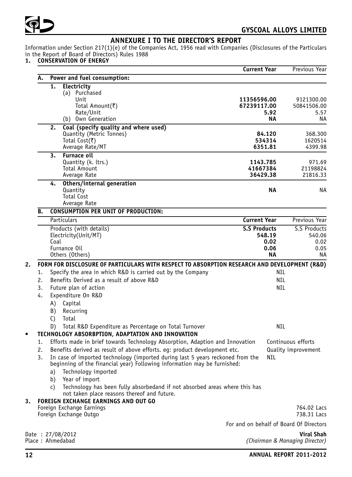

# **ANNEXURE I TO THE DIRECTOR'S REPORT**

Information under Section 217(1)(e) of the Companies Act, 1956 read with Companies (Disclosures of the Particulars in the Report of Board of Directors) Rules 1988

#### **1. CONSERVATION OF ENERGY**

|    |                                                                                                                                                            | <b>Current Year</b>                     |            | Previous Year                  |
|----|------------------------------------------------------------------------------------------------------------------------------------------------------------|-----------------------------------------|------------|--------------------------------|
| Α. | Power and fuel consumption:                                                                                                                                |                                         |            |                                |
|    | 1.<br>Electricity                                                                                                                                          |                                         |            |                                |
|    | (a) Purchased                                                                                                                                              |                                         |            |                                |
|    | Unit<br>Total Amount(₹)                                                                                                                                    | 11356596.00<br>67239117.00              |            | 9121300.00<br>50841506.00      |
|    | Rate/Unit                                                                                                                                                  |                                         | 5.92       | 5.57                           |
|    | (b) Own Generation                                                                                                                                         |                                         | ΝA         | ΝA                             |
|    | Coal (specify quality and where used)<br>2.                                                                                                                |                                         |            |                                |
|    | Quantity (Metric Tonnes)                                                                                                                                   |                                         | 84.120     | 368.300                        |
|    | Total Cost(₹)                                                                                                                                              |                                         | 534314     | 1620514                        |
|    | Average Rate/MT                                                                                                                                            |                                         | 6351.81    | 4399.98                        |
|    | <b>Furnace oil</b><br>3.<br>Quantity (k. ltrs.)                                                                                                            | 1143.785                                |            | 971.69                         |
|    | <b>Total Amount</b>                                                                                                                                        | 41667384                                |            | 21198824                       |
|    | Average Rate                                                                                                                                               | 36429.38                                |            | 21816.33                       |
|    | Others/internal generation<br>4.                                                                                                                           |                                         |            |                                |
|    | Quantity                                                                                                                                                   |                                         | ΝA         | NA                             |
|    | <b>Total Cost</b>                                                                                                                                          |                                         |            |                                |
| В. | Average Rate<br><b>CONSUMPTION PER UNIT OF PRODUCTION:</b>                                                                                                 |                                         |            |                                |
|    | Particulars                                                                                                                                                | <b>Current Year</b>                     |            | Previous Year                  |
|    | Products (with details)                                                                                                                                    | <b>S.S Products</b>                     |            | S.S Products                   |
|    | Electricity(Unit/MT)                                                                                                                                       |                                         | 548.19     | 540.06                         |
|    | Coal                                                                                                                                                       |                                         | 0.02       | 0.02                           |
|    | Furnance Oil                                                                                                                                               |                                         | 0.06       | 0.05                           |
|    | Others (Others)                                                                                                                                            |                                         | NΑ         | ΝA                             |
|    | FORM FOR DISCLOSURE OF PARTICULARS WITH RESPECT TO ABSORPTION RESEARCH AND DEVELOPMENT (R&D)                                                               |                                         |            |                                |
| 1. | Specify the area in which R&D is carried out by the Company                                                                                                |                                         | NIL        |                                |
| 2. | Benefits Derived as a result of above R&D                                                                                                                  |                                         | <b>NIL</b> |                                |
| 3. | Future plan of action                                                                                                                                      |                                         | <b>NIL</b> |                                |
| 4. | Expenditure On R&D                                                                                                                                         |                                         |            |                                |
|    | Capital<br>A)                                                                                                                                              |                                         |            |                                |
|    | Recurring<br>B)                                                                                                                                            |                                         |            |                                |
|    | Total<br>C)                                                                                                                                                |                                         |            |                                |
|    | Total R&D Expenditure as Percentage on Total Turnover<br>D)                                                                                                |                                         | NIL        |                                |
|    | TECHNOLOGY ABSORBPTION, ADAPTATION AND INNOVATION                                                                                                          |                                         |            |                                |
| 1. | Efforts made in brief towards Technology Absorption, Adaption and Innovation                                                                               |                                         |            | Continuous efforts             |
| 2. | Benefits derived as result of above efforts. eg: product development etc.                                                                                  |                                         |            | Quality improvement            |
| 3. | In case of imported technology (imported during last 5 years reckoned from the<br>beginning of the financial year) Following information may be furnished: |                                         | <b>NIL</b> |                                |
|    | a) Technology imported                                                                                                                                     |                                         |            |                                |
|    | b) Year of import                                                                                                                                          |                                         |            |                                |
|    | Technology has been fully absorbedand if not absorbed areas where this has<br>C)<br>not taken place reasons thereof and future.                            |                                         |            |                                |
|    | FOREIGN EXCHANGE EARNINGS AND OUT GO                                                                                                                       |                                         |            |                                |
|    | Foreign Exchange Earnings                                                                                                                                  |                                         |            | 764.02 Lacs                    |
|    | Foreign Exchange Outgo                                                                                                                                     |                                         |            | 738.31 Lacs                    |
|    |                                                                                                                                                            | For and on behalf of Board Of Directors |            |                                |
|    | Date: 27/08/2012                                                                                                                                           |                                         |            | Viral Shah                     |
|    | Place: Ahmedabad                                                                                                                                           |                                         |            | (Chairman & Managing Director) |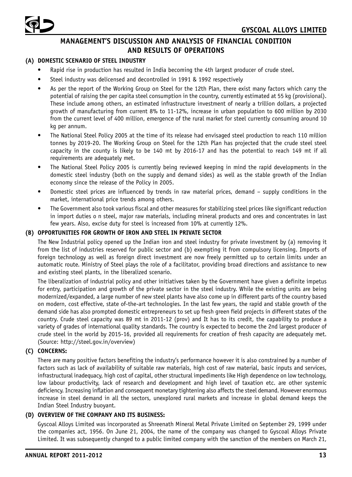

# **MANAGEMENT'S DISCUSSION AND ANALYSIS OF FINANCIAL CONDITION AND RESULTS OF OPERATIONS**

# **(A) DOMESTIC SCENARIO OF STEEL INDUSTRY**

- Rapid rise in production has resulted in India becoming the 4th largest producer of crude steel.
- Steel industry was delicensed and decontrolled in 1991 & 1992 respectively
- As per the report of the Working Group on Steel for the 12th Plan, there exist many factors which carry the potential of raising the per capita steel consumption in the country, currently estimated at 55 kg (provisional). These include among others, an estimated infrastructure investment of nearly a trillion dollars, a projected growth of manufacturing from current 8% to 11-12%, increase in urban population to 600 million by 2030 from the current level of 400 million, emergence of the rural market for steel currently consuming around 10 kg per annum.
- The National Steel Policy 2005 at the time of its release had envisaged steel production to reach 110 million tonnes by 2019-20. The Working Group on Steel for the 12th Plan has projected that the crude steel steel capacity in the county is likely to be 140 mt by 2016-17 and has the potential to reach 149 mt if all requirements are adequately met.
- The National Steel Policy 2005 is currently being reviewed keeping in mind the rapid developments in the domestic steel industry (both on the supply and demand sides) as well as the stable growth of the Indian economy since the release of the Policy in 2005.
- Domestic steel prices are influenced by trends in raw material prices, demand supply conditions in the market, international price trends among others.
- The Government also took various fiscal and other measures for stabilizing steel prices like significant reduction in import duties o n steel, major raw materials, including mineral products and ores and concentrates in last few years. Also, excise duty for steel is increased from 10% at currently 12%.

# **(B) OPPORTUNITIES FOR GROWTH OF IRON AND STEEL IN PRIVATE SECTOR**

The New Industrial policy opened up the Indian iron and steel industry for private investment by (a) removing it from the list of industries reserved for public sector and (b) exempting it from compulsory licensing. Imports of foreign technology as well as foreign direct investment are now freely permitted up to certain limits under an automatic route. Ministry of Steel plays the role of a facilitator, providing broad directions and assistance to new and existing steel plants, in the liberalized scenario.

The liberalization of industrial policy and other initiatives taken by the Government have given a definite impetus for entry, participation and growth of the private sector in the steel industry. While the existing units are being modernized/expanded, a large number of new steel plants have also come up in different parts of the country based on modern, cost effective, state of-the-art technologies. In the last few years, the rapid and stable growth of the demand side has also prompted domestic entrepreneurs to set up fresh green field projects in different states of the country. Crude steel capacity was 89 mt in 2011-12 (prov) and It has to its credit, the capability to produce a variety of grades of international quality standards. The country is expected to become the 2nd largest producer of crude steel in the world by 2015-16, provided all requirements for creation of fresh capacity are adequately met. (Source: http://steel.gov.in/overview)

# **(C) CONCERNS:**

There are many positive factors benefiting the industry's performance however it is also constrained by a number of factors such as lack of availability of suitable raw materials, high cost of raw material, basic inputs and services, infrastructural inadequacy, high cost of capital, other structural impediments like High dependence on low technology, low labour productivity, lack of research and development and high level of taxation etc. are other systemic deficiency. Increasing inflation and consequent monetary tightening also affects the steel demand. However enormous increase in steel demand in all the sectors, unexplored rural markets and increase in global demand keeps the Indian Steel Industry buoyant.

## **(D) OVERVIEW OF THE COMPANY AND ITS BUSINESS:**

Gyscoal Alloys Limited was incorporated as Shreenath Mineral Metal Private Limited on September 29, 1999 under the companies act, 1956. On June 21, 2004, the name of the company was changed to Gyscoal Alloys Private Limited. It was subsequently changed to a public limited company with the sanction of the members on March 21,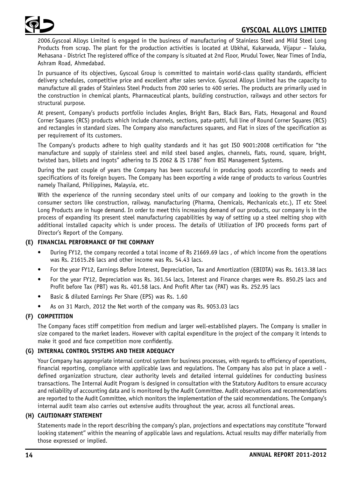

2006.Gyscoal Alloys Limited is engaged in the business of manufacturing of Stainless Steel and Mild Steel Long Products from scrap. The plant for the production activities is located at Ubkhal, Kukarwada, Vijapur – Taluka, Mehasana - District The registered office of the company is situated at 2nd Floor, Mrudul Tower, Near Times of India, Ashram Road, Ahmedabad.

In pursuance of its objectives, Gyscoal Group is committed to maintain world-class quality standards, efficient delivery schedules, competitive price and excellent after sales service. Gyscoal Alloys Limited has the capacity to manufacture all grades of Stainless Steel Products from 200 series to 400 series. The products are primarily used in the construction in chemical plants, Pharmaceutical plants, building construction, railways and other sectors for structural purpose.

At present, Company's products portfolio includes Angles, Bright Bars, Black Bars, Flats, Hexagonal and Round Corner Squares (RCS) products which include channels, sections, pata-patti, full line of Round Corner Squares (RCS) and rectangles in standard sizes. The Company also manufactures squares, and Flat in sizes of the specification as per requirement of its customers.

The Company's products adhere to high quality standards and it has got ISO 9001:2008 certification for "the manufacture and supply of stainless steel and mild steel based angles, channels, flats, round, square, bright, twisted bars, billets and ingots" adhering to IS 2062 & IS 1786" from BSI Management Systems.

During the past couple of years the Company has been successful in producing goods according to needs and specifications of its foreign buyers. The Company has been exporting a wide range of products to various Countries namely Thailand, Philippines, Malaysia, etc.

With the experience of the running secondary steel units of our company and looking to the growth in the consumer sectors like construction, railway, manufacturing (Pharma, Chemicals, Mechanicals etc.), IT etc Steel Long Products are in huge demand. In order to meet this increasing demand of our products, our company is in the process of expanding its present steel manufacturing capabilities by way of setting up a steel melting shop with additional installed capacity which is under process. The details of Utilization of IPO proceeds forms part of Director's Report of the Company.

# **(E) FINANCIAL PERFORMANCE OF THE COMPANY**

- During FY12, the company recorded a total income of Rs 21669.69 lacs , of which income from the operations was Rs. 21615.26 lacs and other income was Rs. 54.43 lacs.
- For the year FY12, Earnings Before Interest, Depreciation, Tax and Amortization (EBIDTA) was Rs. 1613.38 lacs
- For the year FY12, Depreciation was Rs. 361.54 lacs, Interest and Finance charges were Rs. 850.25 lacs and Profit before Tax (PBT) was Rs. 401.58 lacs. And Profit After tax (PAT) was Rs. 252.95 lacs
- Basic & diluted Earnings Per Share (EPS) was Rs. 1.60
- As on 31 March, 2012 the Net worth of the company was Rs. 9053.03 lacs

## **(F) COMPETITION**

The Company faces stiff competition from medium and larger well-established players. The Company is smaller in size compared to the market leaders. However with capital expenditure in the project of the company it intends to make it good and face competition more confidently.

## **(G) INTERNAL CONTROL SYSTEMS AND THEIR ADEQUACY**

Your Company has appropriate internal control system for business processes, with regards to efficiency of operations, financial reporting, compliance with applicable laws and regulations. The Company has also put in place a well defined organization structure, clear authority levels and detailed internal guidelines for conducting business transactions. The Internal Audit Program is designed in consultation with the Statutory Auditors to ensure accuracy and reliability of accounting data and is monitored by the Audit Committee. Audit observations and recommendations are reported to the Audit Committee, which monitors the implementation of the said recommendations. The Company's internal audit team also carries out extensive audits throughout the year, across all functional areas.

## **(H) CAUTIONARY STATEMENT**

Statements made in the report describing the company's plan, projections and expectations may constitute "forward looking statement" within the meaning of applicable laws and regulations. Actual results may differ materially from those expressed or implied.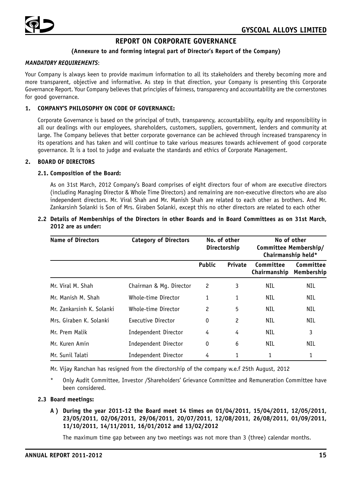

# **REPORT ON CORPORATE GOVERNANCE**

# **(Annexure to and forming integral part of Director's Report of the Company)**

#### *MANDATORY REQUIREMENTS*:

Your Company is always keen to provide maximum information to all its stakeholders and thereby becoming more and more transparent, objective and informative. As step in that direction, your Company is presenting this Corporate Governance Report. Your Company believes that principles of fairness, transparency and accountability are the cornerstones for good governance.

## **1. COMPANY'S PHILOSOPHY ON CODE OF GOVERNANCE:**

Corporate Governance is based on the principal of truth, transparency, accountability, equity and responsibility in all our dealings with our employees, shareholders, customers, suppliers, government, lenders and community at large. The Company believes that better corporate governance can be achieved through increased transparency in its operations and has taken and will continue to take various measures towards achievement of good corporate governance. It is a tool to judge and evaluate the standards and ethics of Corporate Management.

#### **2. BOARD OF DIRECTORS**

#### **2.1. Composition of the Board:**

As on 31st March, 2012 Company's Board comprises of eight directors four of whom are executive directors (including Managing Director & Whole Time Directors) and remaining are non-executive directors who are also independent directors. Mr. Viral Shah and Mr. Manish Shah are related to each other as brothers. And Mr. Zankarsinh Solanki is Son of Mrs. Giraben Solanki, except this no other directors are related to each other

#### **2.2 Details of Memberships of the Directors in other Boards and in Board Committees as on 31st March, 2012 are as under:**

| <b>Name of Directors</b>  | <b>Category of Directors</b> | No. of other<br>Directorship |         | Committee Membership/<br>Chairmanship held* | No of other             |
|---------------------------|------------------------------|------------------------------|---------|---------------------------------------------|-------------------------|
|                           |                              | <b>Public</b>                | Private | Committee<br>Chairmanship                   | Committee<br>Membership |
| Mr. Viral M. Shah         | Chairman & Mq. Director      | 2                            | 3       | NIL                                         | NIL                     |
| Mr. Manish M. Shah        | Whole-time Director          | 1                            | 1       | NIL                                         | NIL                     |
| Mr. Zankarsinh K. Solanki | Whole-time Director          | 2                            | 5       | NIL                                         | NIL                     |
| Mrs. Giraben K. Solanki   | Executive Director           | $\mathbf 0$                  | 2       | NIL                                         | NIL                     |
| Mr. Prem Malik            | Independent Director         | 4                            | 4       | NIL                                         | 3                       |
| Mr. Kuren Amin            | Independent Director         | $\mathbf 0$                  | 6       | NIL                                         | <b>NIL</b>              |
| Mr. Sunil Talati          | Independent Director         | 4                            | 1       | 1                                           | 1                       |

Mr. Vijay Ranchan has resigned from the directorship of the company w.e.f 25th August, 2012

Only Audit Committee, Investor /Shareholders' Grievance Committee and Remuneration Committee have been considered.

#### **2.3 Board meetings:**

**A ) During the year 2011-12 the Board meet 14 times on 01/04/2011, 15/04/2011, 12/05/2011, 23/05/2011, 02/06/2011, 29/06/2011, 20/07/2011, 12/08/2011, 26/08/2011, 01/09/2011, 11/10/2011, 14/11/2011, 16/01/2012 and 13/02/2012**

The maximum time gap between any two meetings was not more than 3 (three) calendar months.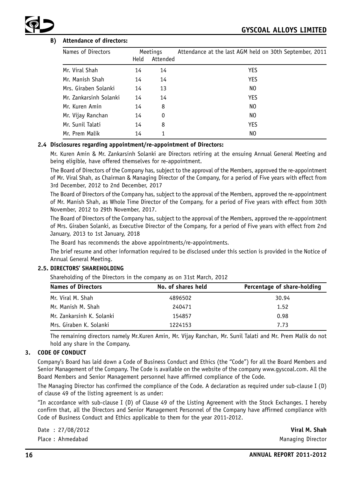# **B) Attendance of directors:**

| Names of Directors     |      | Meetings | Attendance at the last AGM held on 30th September, 2011 |
|------------------------|------|----------|---------------------------------------------------------|
|                        | Held | Attended |                                                         |
| Mr. Viral Shah         | 14   | 14       | YES                                                     |
| Mr. Manish Shah        | 14   | 14       | <b>YES</b>                                              |
| Mrs. Giraben Solanki   | 14   | 13       | NO.                                                     |
| Mr. Zankarsinh Solanki | 14   | 14       | YES                                                     |
| Mr. Kuren Amin         | 14   | 8        | NO.                                                     |
| Mr. Vijay Ranchan      | 14   | 0        | NO.                                                     |
| Mr. Sunil Talati       | 14   | 8        | YES                                                     |
| Mr. Prem Malik         | 14   |          | NO.                                                     |

#### **2.4 Disclosures regarding appointment/re-appointment of Directors:**

Mr. Kuren Amin & Mr. Zankarsinh Solanki are Directors retiring at the ensuing Annual General Meeting and being eligible, have offered themselves for re-appointment.

The Board of Directors of the Company has, subject to the approval of the Members, approved the re-appointment of Mr. Viral Shah, as Chairman & Managing Director of the Company, for a period of Five years with effect from 3rd December, 2012 to 2nd December, 2017

The Board of Directors of the Company has, subject to the approval of the Members, approved the re-appointment of Mr. Manish Shah, as Whole Time Director of the Company, for a period of Five years with effect from 30th November, 2012 to 29th November, 2017.

The Board of Directors of the Company has, subject to the approval of the Members, approved the re-appointment of Mrs. Giraben Solanki, as Executive Director of the Company, for a period of Five years with effect from 2nd January, 2013 to 1st January, 2018

The Board has recommends the above appointments/re-appointments.

The brief resume and other information required to be disclosed under this section is provided in the Notice of Annual General Meeting.

## **2.5. DIRECTORS' SHAREHOLDING**

Shareholding of the Directors in the company as on 31st March, 2012

| <b>Names of Directors</b> | No. of shares held | Percentage of share-holding |
|---------------------------|--------------------|-----------------------------|
| Mr. Viral M. Shah         | 4896502            | 30.94                       |
| Mr. Manish M. Shah        | 240471             | 1.52                        |
| Mr. Zankarsinh K. Solanki | 154857             | 0.98                        |
| Mrs. Giraben K. Solanki   | 1224153            | 7.73                        |

The remaining directors namely Mr.Kuren Amin, Mr. Vijay Ranchan, Mr. Sunil Talati and Mr. Prem Malik do not hold any share in the Company.

# **3. CODE OF CONDUCT**

Company's Board has laid down a Code of Business Conduct and Ethics (the "Code") for all the Board Members and Senior Management of the Company. The Code is available on the website of the company www.gyscoal.com. All the Board Members and Senior Management personnel have affirmed compliance of the Code.

The Managing Director has confirmed the compliance of the Code. A declaration as required under sub-clause I (D) of clause 49 of the listing agreement is as under:

"In accordance with sub-clause I (D) of Clause 49 of the Listing Agreement with the Stock Exchanges. I hereby confirm that, all the Directors and Senior Management Personnel of the Company have affirmed compliance with Code of Business Conduct and Ethics applicable to them for the year 2011-2012.

Date : 27/08/2012 **Viral M. Shah**

Place : Ahmedabad Managing Director and Managing Director and Managing Director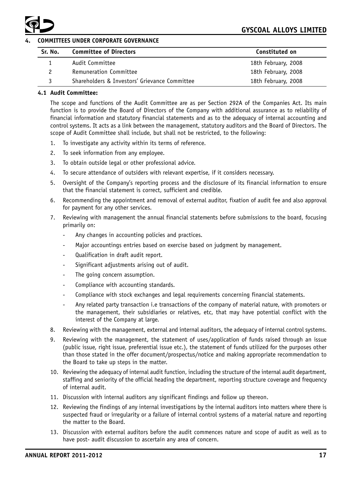

# **4. COMMITTEES UNDER CORPORATE GOVERNANCE**

| Sr. No. | <b>Committee of Directors</b>                 | Constituted on      |
|---------|-----------------------------------------------|---------------------|
|         | Audit Committee                               | 18th February, 2008 |
|         | <b>Remuneration Committee</b>                 | 18th February, 2008 |
| ર       | Shareholders & Investors' Grievance Committee | 18th February, 2008 |

# **4.1 Audit Committee:**

The scope and functions of the Audit Committee are as per Section 292A of the Companies Act. Its main function is to provide the Board of Directors of the Company with additional assurance as to reliability of financial information and statutory financial statements and as to the adequacy of internal accounting and control systems. It acts as a link between the management, statutory auditors and the Board of Directors. The scope of Audit Committee shall include, but shall not be restricted, to the following:

- 1. To investigate any activity within its terms of reference.
- 2. To seek information from any employee.
- 3. To obtain outside legal or other professional advice.
- 4. To secure attendance of outsiders with relevant expertise, if it considers necessary.
- 5. Oversight of the Company's reporting process and the disclosure of its financial information to ensure that the financial statement is correct, sufficient and credible.
- 6. Recommending the appointment and removal of external auditor, fixation of audit fee and also approval for payment for any other services.
- 7. Reviewing with management the annual financial statements before submissions to the board, focusing primarily on:
	- Any changes in accounting policies and practices.
	- Major accountings entries based on exercise based on judgment by management.
	- Qualification in draft audit report.
	- Significant adjustments arising out of audit.
	- The going concern assumption.
	- Compliance with accounting standards.
	- Compliance with stock exchanges and legal requirements concerning financial statements.
	- Any related party transaction i.e transactions of the company of material nature, with promoters or the management, their subsidiaries or relatives, etc, that may have potential conflict with the interest of the Company at large.
- 8. Reviewing with the management, external and internal auditors, the adequacy of internal control systems.
- 9. Reviewing with the management, the statement of uses/application of funds raised through an issue (public issue, right issue, preferential issue etc.), the statement of funds utilized for the purposes other than those stated in the offer document/prospectus/notice and making appropriate recommendation to the Board to take up steps in the matter.
- 10. Reviewing the adequacy of internal audit function, including the structure of the internal audit department, staffing and seniority of the official heading the department, reporting structure coverage and frequency of internal audit.
- 11. Discussion with internal auditors any significant findings and follow up thereon.
- 12. Reviewing the findings of any internal investigations by the internal auditors into matters where there is suspected fraud or irregularity or a failure of internal control systems of a material nature and reporting the matter to the Board.
- 13. Discussion with external auditors before the audit commences nature and scope of audit as well as to have post- audit discussion to ascertain any area of concern.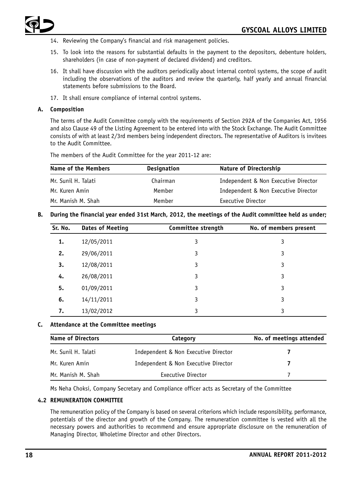

- 14. Reviewing the Company's financial and risk management policies.
- 15. To look into the reasons for substantial defaults in the payment to the depositors, debenture holders, shareholders (in case of non-payment of declared dividend) and creditors.
- 16. It shall have discussion with the auditors periodically about internal control systems, the scope of audit including the observations of the auditors and review the quarterly, half yearly and annual financial statements before submissions to the Board.
- 17. It shall ensure compliance of internal control systems.

#### **A. Composition**

The terms of the Audit Committee comply with the requirements of Section 292A of the Companies Act, 1956 and also Clause 49 of the Listing Agreement to be entered into with the Stock Exchange. The Audit Committee consists of with at least 2/3rd members being independent directors. The representative of Auditors is invitees to the Audit Committee.

The members of the Audit Committee for the year 2011-12 are:

| Name of the Members | <b>Designation</b> | Nature of Directorship               |
|---------------------|--------------------|--------------------------------------|
| Mr. Sunil H. Talati | Chairman           | Independent & Non Executive Director |
| Mr. Kuren Amin      | Member             | Independent & Non Executive Director |
| Mr. Manish M. Shah  | Member             | Executive Director                   |

#### **B. During the financial year ended 31st March, 2012, the meetings of the Audit committee held as under;**

| Sr. No. | <b>Dates of Meeting</b> | Committee strength | No. of members present |
|---------|-------------------------|--------------------|------------------------|
| 1.      | 12/05/2011              | 3                  | 3                      |
| 2.      | 29/06/2011              | 3                  | 3                      |
| 3.      | 12/08/2011              | 3                  | 3                      |
| 4.      | 26/08/2011              | 3                  | 3                      |
| 5.      | 01/09/2011              | 3                  | 3                      |
| 6.      | 14/11/2011              | 3                  | 3                      |
| 7.      | 13/02/2012              | 3                  | 3                      |

#### **C. Attendance at the Committee meetings**

| <b>Name of Directors</b> | Category                             | No. of meetings attended |
|--------------------------|--------------------------------------|--------------------------|
| Mr. Sunil H. Talati      | Independent & Non Executive Director |                          |
| Mr. Kuren Amin           | Independent & Non Executive Director |                          |
| Mr. Manish M. Shah       | Executive Director                   |                          |

Ms Neha Choksi, Company Secretary and Compliance officer acts as Secretary of the Committee

## **4.2 REMUNERATION COMMITTEE**

The remuneration policy of the Company is based on several criterions which include responsibility, performance, potentials of the director and growth of the Company. The remuneration committee is vested with all the necessary powers and authorities to recommend and ensure appropriate disclosure on the remuneration of Managing Director, Wholetime Director and other Directors.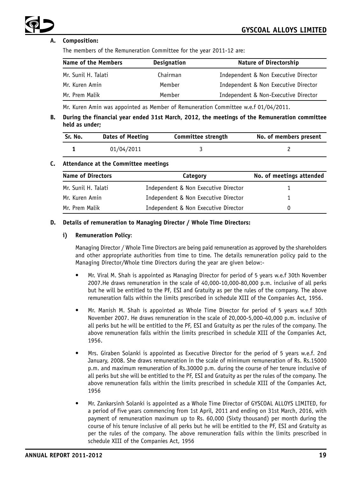# **A. Composition:**

The members of the Remuneration Committee for the year 2011-12 are:

| <b>Name of the Members</b> | <b>Designation</b> | <b>Nature of Directorship</b>        |
|----------------------------|--------------------|--------------------------------------|
| Mr. Sunil H. Talati        | Chairman           | Independent & Non Executive Director |
| Mr. Kuren Amin             | Member             | Independent & Non Executive Director |
| Mr. Prem Malik             | Member             | Independent & Non-Executive Director |

Mr. Kuren Amin was appointed as Member of Remuneration Committee w.e.f 01/04/2011.

**B. During the financial year ended 31st March, 2012, the meetings of the Remuneration committee held as under;**

| Sr. No. | <b>Dates of Meeting</b> | Committee strength | No. of members present |
|---------|-------------------------|--------------------|------------------------|
|         | 01/04/2011              |                    |                        |

#### **C. Attendance at the Committee meetings**

| <b>Name of Directors</b> | Category                             | No. of meetings attended |
|--------------------------|--------------------------------------|--------------------------|
| Mr. Sunil H. Talati      | Independent & Non Executive Director |                          |
| Mr. Kuren Amin           | Independent & Non Executive Director |                          |
| Mr. Prem Malik           | Independent & Non Executive Director |                          |

#### **D. Details of remuneration to Managing Director / Whole Time Directors:**

#### **i) Remuneration Policy**:

Managing Director / Whole Time Directors are being paid remuneration as approved by the shareholders and other appropriate authorities from time to time. The details remuneration policy paid to the Managing Director/Whole time Directors during the year are given below:-

- Mr. Viral M. Shah is appointed as Managing Director for period of 5 years w.e.f 30th November 2007.He draws remuneration in the scale of 40,000-10,000-80,000 p.m. inclusive of all perks but he will be entitled to the PF, ESI and Gratuity as per the rules of the company. The above remuneration falls within the limits prescribed in schedule XIII of the Companies Act, 1956.
- Mr. Manish M. Shah is appointed as Whole Time Director for period of 5 years w.e.f 30th November 2007. He draws remuneration in the scale of 20,000-5,000-40,000 p.m. inclusive of all perks but he will be entitled to the PF, ESI and Gratuity as per the rules of the company. The above remuneration falls within the limits prescribed in schedule XIII of the Companies Act, 1956.
- Mrs. Giraben Solanki is appointed as Executive Director for the period of 5 years w.e.f. 2nd January, 2008. She draws remuneration in the scale of minimum remuneration of Rs. Rs.15000 p.m. and maximum remuneration of Rs.30000 p.m. during the course of her tenure inclusive of all perks but she will be entitled to the PF, ESI and Gratuity as per the rules of the company. The above remuneration falls within the limits prescribed in schedule XIII of the Companies Act, 1956
- Mr. Zankarsinh Solanki is appointed as a Whole Time Director of GYSCOAL ALLOYS LIMITED, for a period of five years commencing from 1st April, 2011 and ending on 31st March, 2016, with payment of remuneration maximum up to Rs. 60,000 (Sixty thousand) per month during the course of his tenure inclusive of all perks but he will be entitled to the PF, ESI and Gratuity as per the rules of the company. The above remuneration falls within the limits prescribed in schedule XIII of the Companies Act, 1956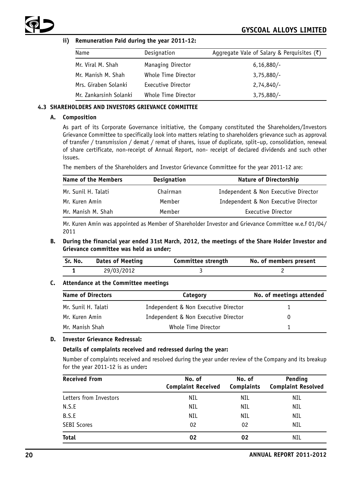

## **ii) Remuneration Paid during the year 2011-12:**

| Name                   | Designation         | Aggregate Vale of Salary & Perguisites $(\bar{\zeta})$ |
|------------------------|---------------------|--------------------------------------------------------|
| Mr. Viral M. Shah      | Managing Director   | $6,16,880/-$                                           |
| Mr. Manish M. Shah     | Whole Time Director | $3,75,880/-$                                           |
| Mrs. Giraben Solanki   | Executive Director  | $2,74,840/-$                                           |
| Mr. Zankarsinh Solanki | Whole Time Director | $3,75,880/-$                                           |

## **4.3 SHAREHOLDERS AND INVESTORS GRIEVANCE COMMITTEE**

#### **A. Composition**

As part of its Corporate Governance initiative, the Company constituted the Shareholders/Investors Grievance Committee to specifically look into matters relating to shareholders grievance such as approval of transfer / transmission / demat / remat of shares, issue of duplicate, split–up, consolidation, renewal of share certificate, non-receipt of Annual Report, non- receipt of declared dividends and such other issues.

The members of the Shareholders and Investor Grievance Committee for the year 2011-12 are:

| Name of the Members | <b>Designation</b> | Nature of Directorship               |
|---------------------|--------------------|--------------------------------------|
| Mr. Sunil H. Talati | Chairman           | Independent & Non Executive Director |
| Mr. Kuren Amin      | Member             | Independent & Non Executive Director |
| Mr. Manish M. Shah  | Member             | Executive Director                   |

Mr. Kuren Amin was appointed as Member of Shareholder Investor and Grievance Committee w.e.f 01/04/ 2011

**B. During the financial year ended 31st March, 2012, the meetings of the Share Holder Investor and Grievance committee was held as under;**

| Sr. No. | Dates of Meeting | Committee strength | No. of members present |
|---------|------------------|--------------------|------------------------|
|         | 29/03/2012       |                    |                        |

## **C. Attendance at the Committee meetings**

| <b>Name of Directors</b> | Category                             | No. of meetings attended |
|--------------------------|--------------------------------------|--------------------------|
| Mr. Sunil H. Talati      | Independent & Non Executive Director |                          |
| Mr. Kuren Amin           | Independent & Non Executive Director | $\Omega$                 |
| Mr. Manish Shah          | Whole Time Director                  |                          |

## **D. Investor Grievance Redressal:**

## **Details of complaints received and redressed during the year:**

Number of complaints received and resolved during the year under review of the Company and its breakup for the year 2011-12 is as under**:**

| <b>Received From</b>   | No. of<br><b>Complaint Received</b> | No. of<br><b>Complaints</b> | Pending<br><b>Complaint Resolved</b> |
|------------------------|-------------------------------------|-----------------------------|--------------------------------------|
| Letters from Investors | NIL                                 | NIL                         | NIL                                  |
| N.S.E                  | NIL                                 | NIL                         | NIL                                  |
| B.S.E                  | NIL                                 | NIL                         | NIL                                  |
| <b>SEBI Scores</b>     | 02                                  | 02                          | NIL                                  |
| <b>Total</b>           | 02                                  | 02                          | NIL                                  |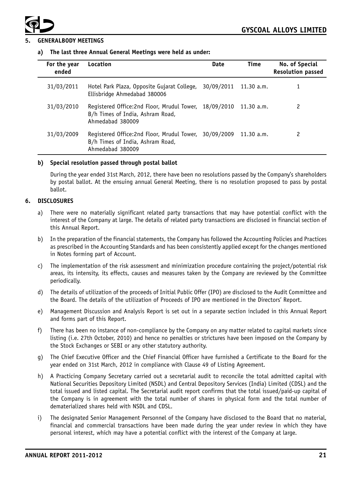



#### **5. GENERALBODY MEETINGS**

#### **a) The last three Annual General Meetings were held as under:**

| For the year<br>ended | Location                                                                                                      | Date       | Time       | No. of Special<br><b>Resolution passed</b> |
|-----------------------|---------------------------------------------------------------------------------------------------------------|------------|------------|--------------------------------------------|
| 31/03/2011            | Hotel Park Plaza, Opposite Gujarat College,<br>Ellisbridge Ahmedabad 380006                                   | 30/09/2011 | 11.30 a.m. |                                            |
| 31/03/2010            | Registered Office:2nd Floor, Mrudul Tower, 18/09/2010<br>B/h Times of India, Ashram Road,<br>Ahmedabad 380009 |            | 11.30 a.m. | 2                                          |
| 31/03/2009            | Registered Office:2nd Floor, Mrudul Tower, 30/09/2009<br>B/h Times of India, Ashram Road,<br>Ahmedabad 380009 |            | 11.30 a.m. | 2                                          |

## **b) Special resolution passed through postal ballot**

During the year ended 31st March, 2012, there have been no resolutions passed by the Company's shareholders by postal ballot. At the ensuing annual General Meeting, there is no resolution proposed to pass by postal ballot.

#### **6. DISCLOSURES**

- a) There were no materially significant related party transactions that may have potential conflict with the interest of the Company at large. The details of related party transactions are disclosed in financial section of this Annual Report.
- b) In the preparation of the financial statements, the Company has followed the Accounting Policies and Practices as prescribed in the Accounting Standards and has been consistently applied except for the changes mentioned in Notes forming part of Account.
- c) The implementation of the risk assessment and minimization procedure containing the project/potential risk areas, its intensity, its effects, causes and measures taken by the Company are reviewed by the Committee periodically.
- d) The details of utilization of the proceeds of Initial Public Offer (IPO) are disclosed to the Audit Committee and the Board. The details of the utilization of Proceeds of IPO are mentioned in the Directors' Report.
- e) Management Discussion and Analysis Report is set out in a separate section included in this Annual Report and forms part of this Report.
- f) There has been no instance of non-compliance by the Company on any matter related to capital markets since listing (i.e. 27th October, 2010) and hence no penalties or strictures have been imposed on the Company by the Stock Exchanges or SEBI or any other statutory authority.
- g) The Chief Executive Officer and the Chief Financial Officer have furnished a Certificate to the Board for the year ended on 31st March, 2012 in compliance with Clause 49 of Listing Agreement.
- h) A Practicing Company Secretary carried out a secretarial audit to reconcile the total admitted capital with National Securities Depository Limited (NSDL) and Central Depository Services (India) Limited (CDSL) and the total issued and listed capital. The Secretarial audit report confirms that the total issued/paid-up capital of the Company is in agreement with the total number of shares in physical form and the total number of dematerialized shares held with NSDL and CDSL.
- i) The designated Senior Management Personnel of the Company have disclosed to the Board that no material, financial and commercial transactions have been made during the year under review in which they have personal interest, which may have a potential conflict with the interest of the Company at large.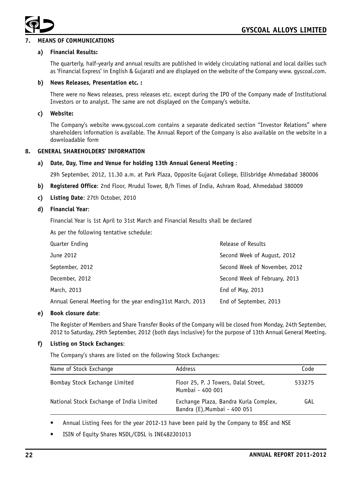

# **7. MEANS OF COMMUNICATIONS**

#### **a) Financial Results:**

The quarterly, half-yearly and annual results are published in widely circulating national and local dailies such as 'Financial Express' in English & Gujarati and are displayed on the website of the Company www. gyscoal.com.

#### **b) News Releases, Presentation etc. :**

There were no News releases, press releases etc. except during the IPO of the Company made of Institutional Investors or to analyst. The same are not displayed on the Company's website.

#### **c) Website:**

The Company's website www.gyscoal.com contains a separate dedicated section "Investor Relations" where shareholders information is available. The Annual Report of the Company is also available on the website in a downloadable form

#### **8. GENERAL SHAREHOLDERS' INFORMATION**

#### **a) Date, Day, Time and Venue for holding 13th Annual General Meeting** :

29h September, 2012, 11.30 a.m. at Park Plaza, Opposite Gujarat College, Ellisbridge Ahmedabad 380006

- **b) Registered Office**: 2nd Floor, Mrudul Tower, B/h Times of India, Ashram Road, Ahmedabad 380009
- **c) Listing Date**: 27th October, 2010

#### **d) Financial Year**:

Financial Year is 1st April to 31st March and Financial Results shall be declared

As per the following tentative schedule:

| Quarter Ending                                             | Release of Results            |
|------------------------------------------------------------|-------------------------------|
| June 2012                                                  | Second Week of August, 2012   |
| September, 2012                                            | Second Week of November, 2012 |
| December, 2012                                             | Second Week of February, 2013 |
| March, 2013                                                | End of May, 2013              |
| Annual General Meeting for the year ending31st March, 2013 | End of September, 2013        |

#### **e) Book closure date**:

The Register of Members and Share Transfer Books of the Company will be closed from Monday, 24th September, 2012 to Saturday, 29th September, 2012 (both days inclusive) for the purpose of 13th Annual General Meeting.

#### **f) Listing on Stock Exchanges**:

The Company's shares are listed on the following Stock Exchanges:

| Name of Stock Exchange                   | Address                                                               | Code   |
|------------------------------------------|-----------------------------------------------------------------------|--------|
| Bombay Stock Exchange Limited            | Floor 25, P. J Towers, Dalal Street,<br>Mumbai - 400 001              | 533275 |
| National Stock Exchange of India Limited | Exchange Plaza, Bandra Kurla Complex,<br>Bandra (E), Mumbai - 400 051 | GAL    |

• Annual Listing Fees for the year 2012-13 have been paid by the Company to BSE and NSE

ISIN of Equity Shares NSDL/CDSL is INE482J01013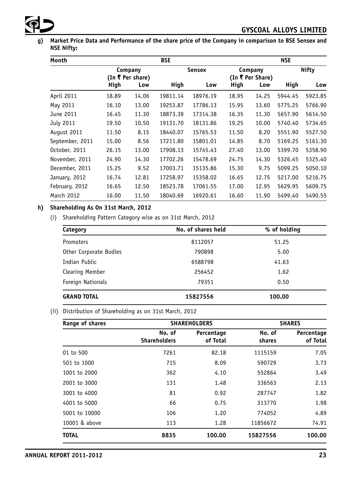

**g) Market Price Data and Performance of the share price of the Company in comparison to BSE Sensex and NSE Nifty:**

| Month           |       |                  | <b>BSE</b> |               |       |                  | <b>NSE</b> |              |
|-----------------|-------|------------------|------------|---------------|-------|------------------|------------|--------------|
|                 |       | Company          |            | <b>Sensex</b> |       | Company          |            | <b>Nifty</b> |
|                 |       | (In ₹ Per share) |            |               |       | (In ₹ Per Share) |            |              |
|                 | High  | Low              | High       | Low           | High  | Low              | High       | Low          |
| April 2011      | 18.89 | 14.06            | 19811.14   | 18976.19      | 18.95 | 14.25            | 5944.45    | 5923.85      |
| May 2011        | 16.10 | 13.00            | 19253.87   | 17786.13      | 15.95 | 13.60            | 5775.25    | 5766.90      |
| June 2011       | 16.45 | 11.30            | 18873.39   | 17314.38      | 16.35 | 11.30            | 5657.90    | 5614.50      |
| July 2011       | 19.50 | 10.50            | 19131.70   | 18131.86      | 19.25 | 10.00            | 5740.40    | 5734.65      |
| August 2011     | 11.50 | 8.15             | 18440.07   | 15765.53      | 11.50 | 8.20             | 5551.90    | 5527.50      |
| September, 2011 | 15.00 | 8.56             | 17211.80   | 15801.01      | 14.85 | 8.70             | 5169.25    | 5161.30      |
| October, 2011   | 26.15 | 13.00            | 17908.13   | 15745.43      | 27.40 | 13.00            | 5399.70    | 5358.90      |
| November, 2011  | 24.90 | 14.30            | 17702.26   | 15478.69      | 24.75 | 14.30            | 5326.45    | 5325.40      |
| December, 2011  | 15.25 | 9.52             | 17003.71   | 15135.86      | 15.30 | 9.75             | 5099.25    | 5050.10      |
| January, 2012   | 16.74 | 12.81            | 17258.97   | 15358.02      | 16.65 | 12.75            | 5217.00    | 5216.75      |
| February, 2012  | 16.65 | 12.50            | 18523.78   | 17061.55      | 17.00 | 12.95            | 5629.95    | 5609.75      |
| March 2012      | 16.00 | 11.50            | 18040.69   | 16920.61      | 16.60 | 11.90            | 5499.40    | 5490.55      |

# **h) Shareholding As On 31st March, 2012**

(i) Shareholding Pattern Category wise as on 31st March, 2012

| Category               | No. of shares held | % of holding |
|------------------------|--------------------|--------------|
| Promoters              | 8112057            | 51.25        |
| Other Corporate Bodies | 790898             | 5.00         |
| Indian Public          | 6588798            | 41.63        |
| Clearing Member        | 256452             | 1.62         |
| Foreign Nationals      | 79351              | 0.50         |
| <b>GRAND TOTAL</b>     | 15827556           | 100.00       |

# (ii) Distribution of Shareholding as on 31st March, 2012

| Range of shares |                               | <b>SHAREHOLDERS</b>    |                  | <b>SHARES</b>          |
|-----------------|-------------------------------|------------------------|------------------|------------------------|
|                 | No. of<br><b>Shareholders</b> | Percentage<br>of Total | No. of<br>shares | Percentage<br>of Total |
| 01 to 500       | 7261                          | 82.18                  | 1115159          | 7.05                   |
| 501 to 1000     | 715                           | 8.09                   | 590729           | 3.73                   |
| 1001 to 2000    | 362                           | 4.10                   | 552864           | 3.49                   |
| 2001 to 3000    | 131                           | 1.48                   | 336563           | 2.13                   |
| 3001 to 4000    | 81                            | 0.92                   | 287747           | 1.82                   |
| 4001 to 5000    | 66                            | 0.75                   | 313770           | 1.98                   |
| 5001 to 10000   | 106                           | 1.20                   | 774052           | 4.89                   |
| 10001 & above   | 113                           | 1.28                   | 11856672         | 74.91                  |
| <b>TOTAL</b>    | 8835                          | 100.00                 | 15827556         | 100.00                 |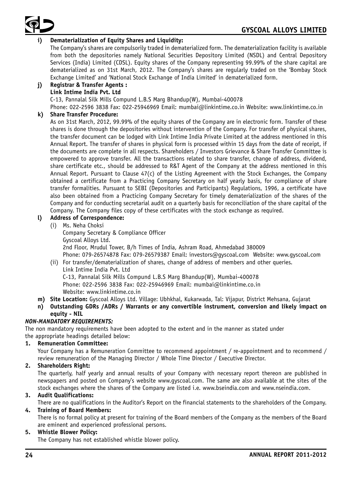

# **i) Dematerialization of Equity Shares and Liquidity:**

The Company's shares are compulsorily traded in dematerialized form. The dematerialization facility is available from both the depositories namely National Securities Depository Limited (NSDL) and Central Depository Services (India) Limited (CDSL). Equity shares of the Company representing 99.99% of the share capital are dematerialized as on 31st March, 2012. The Company's shares are regularly traded on the 'Bombay Stock Exchange Limited' and 'National Stock Exchange of India Limited' in dematerialized form.

# **j) Registrar & Transfer Agents : Link Intime India Pvt. Ltd**

C-13, Pannalal Silk Mills Compund L.B.S Marg Bhandup(W), Mumbai-400078

Phone: 022-2596 3838 Fax: 022-25946969 Email: mumbai@linkintime.co.in Website: www.linkintime.co.in

# **k) Share Transfer Procedure:**

As on 31st March, 2012, 99.99% of the equity shares of the Company are in electronic form. Transfer of these shares is done through the depositories without intervention of the Company. For transfer of physical shares, the transfer document can be lodged with Link Intime India Private Limited at the address mentioned in this Annual Report. The transfer of shares in physical form is processed within 15 days from the date of receipt, if the documents are complete in all respects. Shareholders / Investors Grievance & Share Transfer Committee is empowered to approve transfer. All the transactions related to share transfer, change of address, dividend, share certificate etc., should be addressed to R&T Agent of the Company at the address mentioned in this Annual Report. Pursuant to Clause 47(c) of the Listing Agreement with the Stock Exchanges, the Company obtained a certificate from a Practicing Company Secretary on half yearly basis, for compliance of share transfer formalities. Pursuant to SEBI (Depositories and Participants) Regulations, 1996, a certificate have also been obtained from a Practicing Company Secretary for timely dematerialization of the shares of the Company and for conducting secretarial audit on a quarterly basis for reconciliation of the share capital of the Company. The Company files copy of these certificates with the stock exchange as required.

# **l) Address of Correspondence:**

- (i) Ms. Neha Choksi Company Secretary & Compliance Officer Gyscoal Alloys Ltd. 2nd Floor, Mrudul Tower, B/h Times of India, Ashram Road, Ahmedabad 380009 Phone: 079-26574878 Fax: 079-26579387 Email: investors@gyscoal.com Website: www.gyscoal.com (ii) For transfer/dematerialization of shares, change of address of members and other queries.
- Link Intime India Pvt. Ltd C-13, Pannalal Silk Mills Compund L.B.S Marg Bhandup(W), Mumbai-400078 Phone: 022-2596 3838 Fax: 022-25946969 Email: mumbai@linkintime.co.in Website: www.linkintime.co.in
- **m) Site Location:** Gyscoal Alloys Ltd. Village: Ubhkhal, Kukarwada, Tal: Vijapur, District Mehsana, Gujarat
- **n) Outstanding GDRs /ADRs / Warrants or any convertible instrument, conversion and likely impact on equity - NIL**

# *NON-MANDATORY REQUIREMENTS:*

The non mandatory requirements have been adopted to the extent and in the manner as stated under the appropriate headings detailed below:

## **1. Remuneration Committee:**

Your Company has a Remuneration Committee to recommend appointment / re-appointment and to recommend / review remuneration of the Managing Director / Whole Time Director / Executive Director.

# **2. Shareholders Right:**

The quarterly, half yearly and annual results of your Company with necessary report thereon are published in newspapers and posted on Company's website www.gyscoal.com. The same are also available at the sites of the stock exchanges where the shares of the Company are listed i.e. www.bseindia.com and www.nseindia.com.

# **3. Audit Qualifications:**

There are no qualifications in the Auditor's Report on the financial statements to the shareholders of the Company.

## **4. Training of Board Members:**

There is no formal policy at present for training of the Board members of the Company as the members of the Board are eminent and experienced professional persons.

## **5. Whistle Blower Policy:**

The Company has not established whistle blower policy.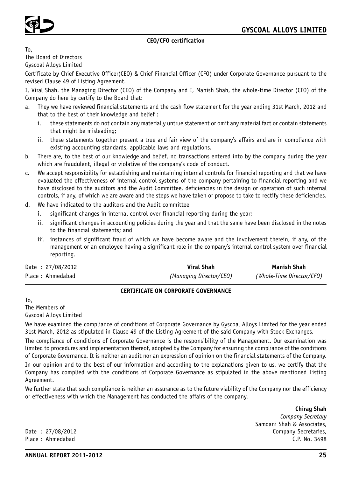

# **CEO/CFO certification**

To, The Board of Directors Gyscoal Alloys Limited

Certificate by Chief Executive Officer(CEO) & Chief Financial Officer (CFO) under Corporate Governance pursuant to the revised Clause 49 of Listing Agreement.

I, Viral Shah. the Managing Director (CEO) of the Company and I, Manish Shah, the whole-time Director (CFO) of the Company do here by certify to the Board that:

- a. They we have reviewed financial statements and the cash flow statement for the year ending 31st March, 2012 and that to the best of their knowledge and belief :
	- i. these statements do not contain any materially untrue statement or omit any material fact or contain statements that might be misleading;
	- ii. these statements together present a true and fair view of the company's affairs and are in compliance with existing accounting standards, applicable laws and regulations.
- b. There are, to the best of our knowledge and belief, no transactions entered into by the company during the year which are fraudulent, illegal or violative of the company's code of conduct.
- c. We accept responsibility for establishing and maintaining internal controls for financial reporting and that we have evaluated the effectiveness of internal control systems of the company pertaining to financial reporting and we have disclosed to the auditors and the Audit Committee, deficiencies in the design or operation of such internal controls, if any, of which we are aware and the steps we have taken or propose to take to rectify these deficiencies.
- d. We have indicated to the auditors and the Audit committee
	- i. significant changes in internal control over financial reporting during the year;
	- ii. significant changes in accounting policies during the year and that the same have been disclosed in the notes to the financial statements; and
	- iii. instances of significant fraud of which we have become aware and the involvement therein, if any, of the management or an employee having a significant role in the company's internal control system over financial reporting.

| Date: $27/08/2012$ | Viral Shah              | Manish Shah               |
|--------------------|-------------------------|---------------------------|
| Place: Ahmedabad   | (Managing Director/CEO) | (Whole-Time Director/CFO) |

## **CERTIFICATE ON CORPORATE GOVERNANCE**

To,

The Members of

Gyscoal Alloys Limited

We have examined the compliance of conditions of Corporate Governance by Gyscoal Alloys Limited for the year ended 31st March, 2012 as stipulated in Clause 49 of the Listing Agreement of the said Company with Stock Exchanges.

The compliance of conditions of Corporate Governance is the responsibility of the Management. Our examination was limited to procedures and implementation thereof, adopted by the Company for ensuring the compliance of the conditions of Corporate Governance. It is neither an audit nor an expression of opinion on the financial statements of the Company.

In our opinion and to the best of our information and according to the explanations given to us, we certify that the Company has complied with the conditions of Corporate Governance as stipulated in the above mentioned Listing Agreement.

We further state that such compliance is neither an assurance as to the future viability of the Company nor the efficiency or effectiveness with which the Management has conducted the affairs of the company.

**Chirag Shah** *Company Secretary* Samdani Shah & Associates, Date : 27/08/2012 Company Secretaries, Place : Ahmedabad C.P. No. 3498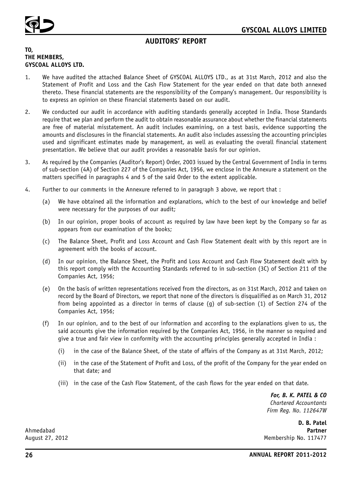

# **AUDITORS' REPORT**

# **TO, THE MEMBERS, GYSCOAL ALLOYS LTD.**

- 1. We have audited the attached Balance Sheet of GYSCOAL ALLOYS LTD., as at 31st March, 2012 and also the Statement of Profit and Loss and the Cash Flow Statement for the year ended on that date both annexed thereto. These financial statements are the responsibility of the Company's management. Our responsibility is to express an opinion on these financial statements based on our audit.
- 2. We conducted our audit in accordance with auditing standards generally accepted in India. Those Standards require that we plan and perform the audit to obtain reasonable assurance about whether the financial statements are free of material misstatement. An audit includes examining, on a test basis, evidence supporting the amounts and disclosures in the financial statements. An audit also includes assessing the accounting principles used and significant estimates made by management, as well as evaluating the overall financial statement presentation. We believe that our audit provides a reasonable basis for our opinion.
- 3. As required by the Companies (Auditor's Report) Order, 2003 issued by the Central Government of India in terms of sub-section (4A) of Section 227 of the Companies Act, 1956, we enclose in the Annexure a statement on the matters specified in paragraphs 4 and 5 of the said Order to the extent applicable.
- 4. Further to our comments in the Annexure referred to in paragraph 3 above, we report that :
	- (a) We have obtained all the information and explanations, which to the best of our knowledge and belief were necessary for the purposes of our audit;
	- (b) In our opinion, proper books of account as required by law have been kept by the Company so far as appears from our examination of the books;
	- (c) The Balance Sheet, Profit and Loss Account and Cash Flow Statement dealt with by this report are in agreement with the books of account.
	- (d) In our opinion, the Balance Sheet, the Profit and Loss Account and Cash Flow Statement dealt with by this report comply with the Accounting Standards referred to in sub-section (3C) of Section 211 of the Companies Act, 1956;
	- (e) On the basis of written representations received from the directors, as on 31st March, 2012 and taken on record by the Board of Directors, we report that none of the directors is disqualified as on March 31, 2012 from being appointed as a director in terms of clause (g) of sub-section (1) of Section 274 of the Companies Act, 1956;
	- (f) In our opinion, and to the best of our information and according to the explanations given to us, the said accounts give the information required by the Companies Act, 1956, in the manner so required and give a true and fair view in conformity with the accounting principles generally accepted in India :
		- (i) in the case of the Balance Sheet, of the state of affairs of the Company as at 31st March, 2012;
		- (ii) in the case of the Statement of Profit and Loss, of the profit of the Company for the year ended on that date; and
		- (iii) in the case of the Cash Flow Statement, of the cash flows for the year ended on that date.

*For, B. K. PATEL & CO Chartered Accountants Firm Reg. No. 112647W*

**D. B. Patel** Ahmedabad **Partner** August 27, 2012 **Membership No. 117477**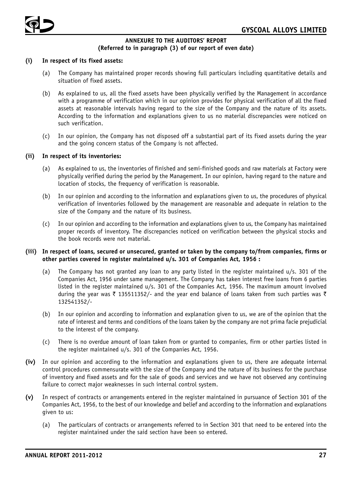

# **ANNEXURE TO THE AUDITORS' REPORT (Referred to in paragraph (3) of our report of even date)**

## **(i) In respect of its fixed assets:**

- (a) The Company has maintained proper records showing full particulars including quantitative details and situation of fixed assets.
- (b) As explained to us, all the fixed assets have been physically verified by the Management in accordance with a programme of verification which in our opinion provides for physical verification of all the fixed assets at reasonable intervals having regard to the size of the Company and the nature of its assets. According to the information and explanations given to us no material discrepancies were noticed on such verification.
- (c) In our opinion, the Company has not disposed off a substantial part of its fixed assets during the year and the going concern status of the Company is not affected.

#### **(ii) In respect of its inventories:**

- (a) As explained to us, the inventories of finished and semi-finished goods and raw materials at Factory were physically verified during the period by the Management. In our opinion, having regard to the nature and location of stocks, the frequency of verification is reasonable.
- (b) In our opinion and according to the information and explanations given to us, the procedures of physical verification of inventories followed by the management are reasonable and adequate in relation to the size of the Company and the nature of its business.
- (c) In our opinion and according to the information and explanations given to us, the Company has maintained proper records of inventory. The discrepancies noticed on verification between the physical stocks and the book records were not material.

#### **(iii) In respect of loans, secured or unsecured, granted or taken by the company to/from companies, firms or other parties covered in register maintained u/s. 301 of Companies Act, 1956 :**

- (a) The Company has not granted any loan to any party listed in the register maintained u/s. 301 of the Companies Act, 1956 under same management. The Company has taken interest free loans from 6 parties listed in the register maintained u/s. 301 of the Companies Act, 1956. The maximum amount involved during the year was  $\bar{\zeta}$  135511352/- and the year end balance of loans taken from such parties was  $\bar{\zeta}$ 132541352/-
- (b) In our opinion and according to information and explanation given to us, we are of the opinion that the rate of interest and terms and conditions of the loans taken by the company are not prima facie prejudicial to the interest of the company.
- (c) There is no overdue amount of loan taken from or granted to companies, firm or other parties listed in the register maintained u/s. 301 of the Companies Act, 1956.
- **(iv)** In our opinion and according to the information and explanations given to us, there are adequate internal control procedures commensurate with the size of the Company and the nature of its business for the purchase of inventory and fixed assets and for the sale of goods and services and we have not observed any continuing failure to correct major weaknesses in such internal control system.
- **(v)** In respect of contracts or arrangements entered in the register maintained in pursuance of Section 301 of the Companies Act, 1956, to the best of our knowledge and belief and according to the information and explanations given to us:
	- (a) The particulars of contracts or arrangements referred to in Section 301 that need to be entered into the register maintained under the said section have been so entered.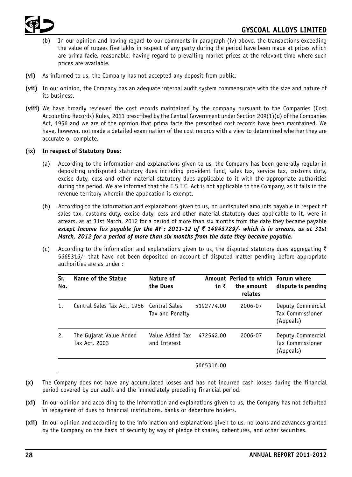

- In our opinion and having regard to our comments in paragraph (iv) above, the transactions exceeding the value of rupees five lakhs in respect of any party during the period have been made at prices which are prima facie, reasonable, having regard to prevailing market prices at the relevant time where such prices are available.
- **(vi)** As informed to us, the Company has not accepted any deposit from public.
- **(vii)** In our opinion, the Company has an adequate internal audit system commensurate with the size and nature of its business.
- **(viii)** We have broadly reviewed the cost records maintained by the company pursuant to the Companies (Cost Accounting Records) Rules, 2011 prescribed by the Central Government under Section 209(1)(d) of the Companies Act, 1956 and we are of the opinion that prima facie the prescribed cost records have been maintained. We have, however, not made a detailed examination of the cost records with a view to determined whether they are accurate or complete.

# **(ix) In respect of Statutory Dues:**

- (a) According to the information and explanations given to us, the Company has been generally regular in depositing undisputed statutory dues including provident fund, sales tax, service tax, customs duty, excise duty, cess and other material statutory dues applicable to it with the appropriate authorities during the period. We are informed that the E.S.I.C. Act is not applicable to the Company, as it falls in the revenue territory wherein the application is exempt.
- (b) According to the information and explanations given to us, no undisputed amounts payable in respect of sales tax, customs duty, excise duty, cess and other material statutory dues applicable to it, were in arrears, as at 31st March, 2012 for a period of more than six months from the date they became payable *except Income Tax payable for the AY : 2011-12 of* ` *14943729/- which is in arrears, as at 31st March, 2012 for a period of more than six months from the date they became payable.*
- (c) According to the information and explanations given to us, the disputed statutory dues aggregating  $\bar{\tau}$ 5665316/- that have not been deposited on account of disputed matter pending before appropriate authorities are as under :

| Sr.<br>No.     | Name of the Statue                        | Nature of<br>the Dues           | in ₹       | Amount Period to which Forum where<br>the amount<br>relates | dispute is pending                                        |
|----------------|-------------------------------------------|---------------------------------|------------|-------------------------------------------------------------|-----------------------------------------------------------|
| $\mathbf{1}$ . | Central Sales Tax Act, 1956 Central Sales | Tax and Penalty                 | 5192774.00 | 2006-07                                                     | Deputy Commercial<br>Tax Commissioner<br>(Appeals)        |
| 2.             | The Gujarat Value Added<br>Tax Act, 2003  | Value Added Tax<br>and Interest | 472542.00  | 2006-07                                                     | Deputy Commercial<br><b>Tax Commissioner</b><br>(Appeals) |
|                |                                           |                                 | 5665316.00 |                                                             |                                                           |

- **(x)** The Company does not have any accumulated losses and has not incurred cash losses during the financial period covered by our audit and the immediately preceding financial period.
- **(xi)** In our opinion and according to the information and explanations given to us, the Company has not defaulted in repayment of dues to financial institutions, banks or debenture holders.
- **(xii)** In our opinion and according to the information and explanations given to us, no loans and advances granted by the Company on the basis of security by way of pledge of shares, debentures, and other securities.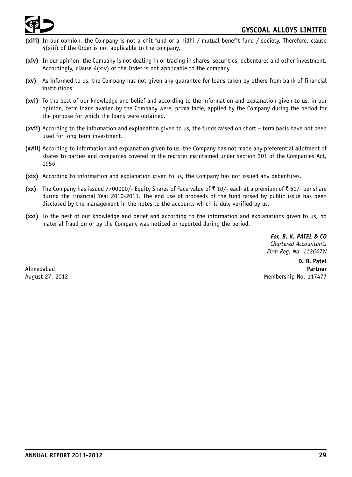

- **(xiii)** In our opinion, the Company is not a chit fund or a nidhi / mutual benefit fund / society. Therefore, clause 4(xiii) of the Order is not applicable to the company.
- **(xiv)** In our opinion, the Company is not dealing in or trading in shares, securities, debentures and other investment. Accordingly, clause 4(xiv) of the Order is not applicable to the company.
- **(xv)** As informed to us, the Company has not given any guarantee for loans taken by others from bank of financial institutions.
- **(xvi)** To the best of our knowledge and belief and according to the information and explanation given to us, in our opinion, term loans availed by the Company were, prima facie, applied by the Company during the period for the purpose for which the loans were obtained.
- **(xvii)** According to the information and explanation given to us, the funds raised on short term basis have not been used for long term investment.
- **(xviii)** According to information and explanation given to us, the Company has not made any preferential allotment of shares to parties and companies covered in the register maintained under section 301 of the Companies Act, 1956,
- **(xix)** According to information and explanation given to us, the Company has not issued any debentures.
- **(xx)** The Company has issued 7700000/- Equity Shares of Face value of ₹ 10/- each at a premium of ₹ 61/- per share during the Financial Year 2010-2011. The end use of proceeds of the fund raised by public issue has been disclosed by the management in the notes to the accounts which is duly verified by us.
- **(xxi)** To the best of our knowledge and belief and according to the information and explanations given to us, no material fraud on or by the Company was noticed or reported during the period.

*For, B. K. PATEL & CO Chartered Accountants Firm Reg. No. 112647W*

**D. B. Patel** Ahmedabad **Partner** August 27, 2012 **Membership No. 117477**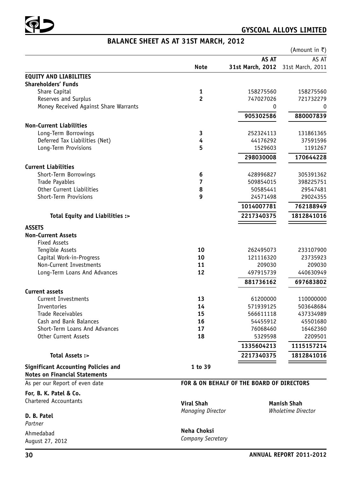

# **BALANCE SHEET AS AT 31ST MARCH, 2012**

|                                                                                    |                          |                                           | (Amount in ₹)             |
|------------------------------------------------------------------------------------|--------------------------|-------------------------------------------|---------------------------|
|                                                                                    |                          | AS AT                                     | AS AT                     |
|                                                                                    | <b>Note</b>              | 31st March, 2012 31st March, 2011         |                           |
| <b>EQUITY AND LIABILITIES</b>                                                      |                          |                                           |                           |
| <b>Shareholders' Funds</b>                                                         |                          |                                           |                           |
| Share Capital                                                                      | 1                        | 158275560                                 | 158275560                 |
| Reserves and Surplus                                                               | $\overline{2}$           | 747027026                                 | 721732279                 |
| Money Received Against Share Warrants                                              |                          | 0                                         | 0                         |
|                                                                                    |                          | 905302586                                 | 880007839                 |
| <b>Non-Current Liabilities</b>                                                     |                          |                                           |                           |
| Long-Term Borrowings                                                               | 3                        | 252324113                                 | 131861365                 |
| Deferred Tax Liabilities (Net)                                                     | 4                        | 44176292                                  | 37591596                  |
| Long-Term Provisions                                                               | 5                        | 1529603                                   | 1191267                   |
|                                                                                    |                          | 298030008                                 | 170644228                 |
|                                                                                    |                          |                                           |                           |
| <b>Current Liabilities</b>                                                         |                          |                                           |                           |
| Short-Term Borrowings                                                              | 6                        | 428996827                                 | 305391362                 |
| Trade Payables                                                                     | 7                        | 509854015                                 | 398225751                 |
| Other Current Liabilities                                                          | 8                        | 50585441                                  | 29547481                  |
| Short-Term Provisions                                                              | 9                        | 24571498                                  | 29024355                  |
|                                                                                    |                          | 1014007781                                | 762188949                 |
| Total Equity and Liabilities :>                                                    |                          | 2217340375                                | 1812841016                |
| <b>ASSETS</b>                                                                      |                          |                                           |                           |
| <b>Non-Current Assets</b>                                                          |                          |                                           |                           |
| <b>Fixed Assets</b>                                                                |                          |                                           |                           |
| Tengible Assets                                                                    | 10                       | 262495073                                 | 233107900                 |
| Capital Work-in-Progress                                                           | 10                       | 121116320                                 | 23735923                  |
| Non-Current Investments                                                            | 11                       | 209030                                    | 209030                    |
| Long-Term Loans And Advances                                                       | 12                       | 497915739                                 | 440630949                 |
|                                                                                    |                          | 881736162                                 | 697683802                 |
| <b>Current assets</b>                                                              |                          |                                           |                           |
| <b>Current Investments</b>                                                         | 13                       | 61200000                                  | 110000000                 |
| Inventories                                                                        | 14                       | 571939125                                 | 503648684                 |
| Trade Receivables                                                                  | 15                       | 566611118                                 | 437334989                 |
| Cash and Bank Balances                                                             | 16                       | 54455912                                  | 45501680                  |
| Short-Term Loans And Advances                                                      | 17                       | 76068460                                  | 16462360                  |
| Other Current Assets                                                               | 18                       | 5329598                                   | 2209501                   |
|                                                                                    |                          | 1335604213                                | 1115157214                |
| Total Assets :>                                                                    |                          | 2217340375                                | 1812841016                |
|                                                                                    |                          |                                           |                           |
| <b>Significant Accounting Policies and</b><br><b>Notes on Financial Statements</b> | 1 to 39                  |                                           |                           |
| As per our Report of even date                                                     |                          | FOR & ON BEHALF OF THE BOARD OF DIRECTORS |                           |
| For, B. K. Patel & Co.                                                             |                          |                                           |                           |
| <b>Chartered Accountants</b>                                                       |                          |                                           | <b>Manish Shah</b>        |
|                                                                                    | <b>Viral Shah</b>        |                                           | <b>Wholetime Director</b> |
| D. B. Patel                                                                        | <b>Managing Director</b> |                                           |                           |
| Partner                                                                            |                          |                                           |                           |
| Ahmedabad                                                                          | Neha Choksi              |                                           |                           |
|                                                                                    |                          |                                           |                           |

*Company Secretary*

August 27, 2012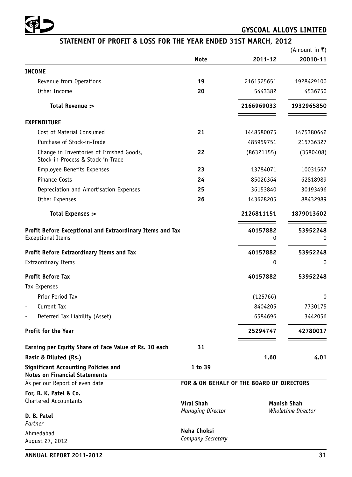

# **STATEMENT OF PROFIT & LOSS FOR THE YEAR ENDED 31ST MARCH, 2012**

| (Amount in ₹) |  |
|---------------|--|
|               |  |

|                                                                                    | Note                                      | 2011-12    | $\mu$ unvant nr $\lambda$<br>20010-11 |
|------------------------------------------------------------------------------------|-------------------------------------------|------------|---------------------------------------|
| <b>INCOME</b>                                                                      |                                           |            |                                       |
| Revenue from Operations                                                            | 19                                        | 2161525651 | 1928429100                            |
| Other Income                                                                       | 20                                        | 5443382    | 4536750                               |
| Total Revenue :>                                                                   |                                           | 2166969033 | 1932965850                            |
| <b>EXPENDITURE</b>                                                                 |                                           |            |                                       |
| Cost of Material Consumed                                                          | 21                                        | 1448580075 | 1475380642                            |
| Purchase of Stock-in-Trade                                                         |                                           | 485959751  | 215736327                             |
| Change in Inventories of Finished Goods,<br>Stock-in-Process & Stock-in-Trade      | 22                                        | (86321155) | (3580408)                             |
| Employee Benefits Expenses                                                         | 23                                        | 13784071   | 10031567                              |
| <b>Finance Costs</b>                                                               | 24                                        | 85026364   | 62818989                              |
| Depreciation and Amortisation Expenses                                             | 25                                        | 36153840   | 30193496                              |
| Other Expenses                                                                     | 26                                        | 143628205  | 88432989                              |
| Total Expenses :>                                                                  |                                           | 2126811151 | 1879013602                            |
| Profit Before Exceptional and Extraordinary Items and Tax                          |                                           | 40157882   | 53952248                              |
| <b>Exceptional Items</b>                                                           |                                           | 0          | 0                                     |
| Profit Before Extraordinary Items and Tax                                          |                                           | 40157882   | 53952248                              |
| <b>Extraordinary Items</b>                                                         |                                           | 0          | 0                                     |
| <b>Profit Before Tax</b>                                                           |                                           | 40157882   | 53952248                              |
| Tax Expenses                                                                       |                                           |            |                                       |
| Prior Period Tax                                                                   |                                           | (125766)   | 0                                     |
| Current Tax                                                                        |                                           | 8404205    | 7730175                               |
| Deferred Tax Liability (Asset)                                                     |                                           | 6584696    | 3442056                               |
| <b>Profit for the Year</b>                                                         |                                           | 25294747   | 42780017                              |
| Earning per Equity Share of Face Value of Rs. 10 each                              | 31                                        |            |                                       |
| Basic & Diluted (Rs.)                                                              |                                           | 1.60       | 4.01                                  |
| <b>Significant Accounting Policies and</b><br><b>Notes on Financial Statements</b> | 1 to 39                                   |            |                                       |
| As per our Report of even date                                                     | FOR & ON BEHALF OF THE BOARD OF DIRECTORS |            |                                       |
| For, B. K. Patel & Co.                                                             |                                           |            |                                       |
| <b>Chartered Accountants</b>                                                       | <b>Viral Shah</b>                         |            | <b>Manish Shah</b>                    |
| D. B. Patel<br>Partner                                                             | Managing Director                         |            | <b>Wholetime Director</b>             |
| Ahmedabad                                                                          | Neha Choksi                               |            |                                       |
| August 27, 2012                                                                    | Company Secretary                         |            |                                       |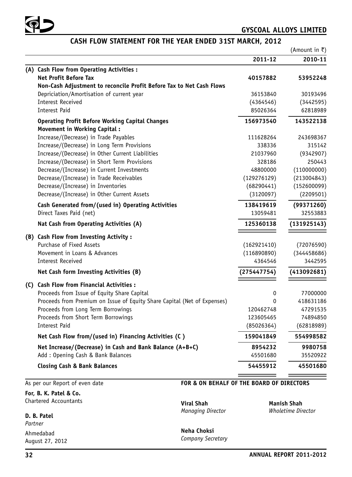

# **CASH FLOW STATEMENT FOR THE YEAR ENDED 31ST MARCH, 2012**

(Amount in  $\bar{z}$ )

|                                                                          | 2011-12     | 2010-11     |
|--------------------------------------------------------------------------|-------------|-------------|
| (A) Cash Flow from Operating Activities :                                |             |             |
| <b>Net Profit Before Tax</b>                                             | 40157882    | 53952248    |
| Non-Cash Adjustment to reconcile Profit Before Tax to Net Cash Flows     |             |             |
| Depriciation/Amortisation of current year                                | 36153840    | 30193496    |
| <b>Interest Received</b>                                                 | (4364546)   | (3442595)   |
| <b>Interest Paid</b>                                                     | 85026364    | 62818989    |
| <b>Operating Profit Before Working Capital Changes</b>                   | 156973540   | 143522138   |
| <b>Movement in Working Capital:</b>                                      |             |             |
| Increase/(Decrease) in Trade Payables                                    | 111628264   | 243698367   |
| Increase/(Decrease) in Long Term Provisions                              | 338336      | 315142      |
| Increase/(Decrease) in Other Current Liabilities                         | 21037960    | (9342907)   |
| Increase/(Decrease) in Short Term Provisions                             | 328186      | 250443      |
| Decrease/(Increase) in Current Investments                               | 48800000    | (110000000) |
| Decrease/(Increase) in Trade Receivables                                 | (129276129) | (213004843) |
| Decrease/(Increase) in Inventories                                       | (68290441)  | (152600099) |
| Decrease/(Increase) in Other Current Assets                              | (3120097)   | (2209501)   |
| Cash Generated from/(used in) Operating Activities                       | 138419619   | (99371260)  |
| Direct Taxes Paid (net)                                                  | 13059481    | 32553883    |
| Nat Cash from Operating Activities (A)                                   | 125360138   | (131925143) |
| (B) Cash Flow from Investing Activity:                                   |             |             |
| Purchase of Fixed Assets                                                 | (162921410) | (72076590)  |
| Movement in Loans & Advances                                             | (116890890) | (344458686) |
| <b>Interest Received</b>                                                 | 4364546     | 3442595     |
| Net Cash form Investing Activities (B)                                   | (275447754) | (413092681) |
| (C) Cash Flow from Financial Activities :                                |             |             |
| Proceeds from Issue of Equity Share Capital                              | 0           | 77000000    |
| Proceeds from Premium on Issue of Equity Share Capital (Net of Expenses) | $\Omega$    | 418631186   |
| Proceeds from Long Term Borrowings                                       | 120462748   | 47291535    |
| Proceeds from Short Term Borrowings                                      | 123605465   | 74894850    |
| <b>Interest Paid</b>                                                     | (85026364)  | (62818989)  |
| Net Cash Flow from/(used in) Financing Activities (C)                    | 159041849   | 554998582   |
| Net Increase/(Decrease) in Cash and Bank Balance (A+B+C)                 | 8954232     | 9980758     |
| Add: Opening Cash & Bank Balances                                        | 45501680    | 35520922    |
| <b>Closing Cash &amp; Bank Balances</b>                                  | 54455912    | 45501680    |
|                                                                          |             |             |

## As per our Report of even date

**For, B. K. Patel & Co.** Chartered Accountants

# **D. B. Patel**

*Partner* Ahmedabad August 27, 2012

# **FOR & ON BEHALF OF THE BOARD OF DIRECTORS**

 $M$ anaging Director

**Viral Shah Manish Shah**

**Neha Choksi** *Company Secretary*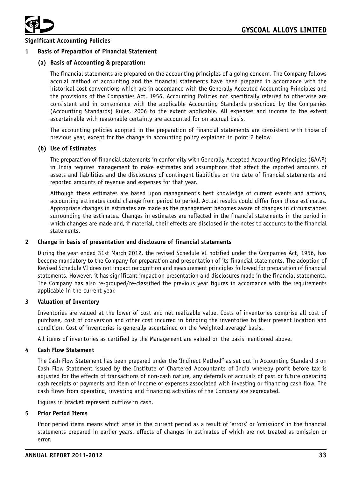

# **Significant Accounting Policies**

#### **1 Basis of Preparation of Financial Statement**

#### **(a) Basis of Accounting & preparation:**

The financial statements are prepared on the accounting principles of a going concern. The Company follows accrual method of accounting and the financial statements have been prepared in accordance with the historical cost conventions which are in accordance with the Generally Accepted Accounting Principles and the provisions of the Companies Act, 1956. Accounting Policies not specifically referred to otherwise are consistent and in consonance with the applicable Accounting Standards prescribed by the Companies (Accounting Standards) Rules, 2006 to the extent applicable. All expenses and income to the extent ascertainable with reasonable certainty are accounted for on accrual basis.

The accounting policies adopted in the preparation of financial statements are consistent with those of previous year, except for the change in accounting policy explained in point 2 below.

#### **(b) Use of Estimates**

The preparation of financial statements in conformity with Generally Accepted Accounting Principles (GAAP) in India requires management to make estimates and assumptions that affect the reported amounts of assets and liabilities and the disclosures of contingent liabilities on the date of financial statements and reported amounts of revenue and expenses for that year.

Although these estimates are based upon management's best knowledge of current events and actions, accounting estimates could change from period to period. Actual results could differ from those estimates. Appropriate changes in estimates are made as the management becomes aware of changes in circumstances surrounding the estimates. Changes in estimates are reflected in the financial statements in the period in which changes are made and, if material, their effects are disclosed in the notes to accounts to the financial statements.

#### **2 Change in basis of presentation and disclosure of financial statements**

During the year ended 31st March 2012, the revised Schedule VI notified under the Companies Act, 1956, has become mandatory to the Company for preparation and presentation of its financial statements. The adoption of Revised Schedule VI does not impact recognition and measurement principles followed for preparation of financial statements. However, it has significant impact on presentation and disclosures made in the financial statements. The Company has also re-grouped/re-classified the previous year figures in accordance with the requirements applicable in the current year.

#### **3 Valuation of Inventory**

Inventories are valued at the lower of cost and net realizable value. Costs of inventories comprise all cost of purchase, cost of conversion and other cost incurred in bringing the inventories to their present location and condition. Cost of inventories is generally ascertained on the 'weighted average' basis.

All items of inventories as certified by the Management are valued on the basis mentioned above.

#### **4 Cash Flow Statement**

The Cash Flow Statement has been prepared under the 'Indirect Method" as set out in Accounting Standard 3 on Cash Flow Statement issued by the Institute of Chartered Accountants of India whereby profit before tax is adjusted for the effects of transactions of non-cash nature, any deferrals or accruals of past or future operating cash receipts or payments and item of income or expenses associated with investing or financing cash flow. The cash flows from operating, investing and financing activities of the Company are segregated.

Figures in bracket represent outflow in cash.

#### **5 Prior Period Items**

Prior period items means which arise in the current period as a result of 'errors' or 'omissions' in the financial statements prepared in earlier years, effects of changes in estimates of which are not treated as omission or error.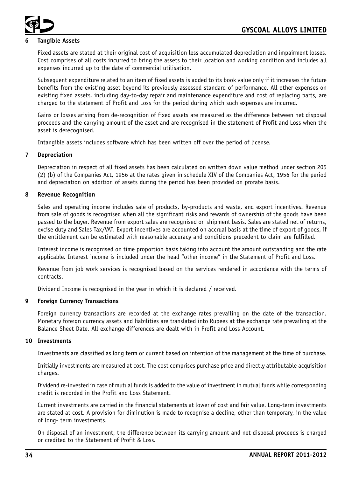

# **6 Tangible Assets**

Fixed assets are stated at their original cost of acquisition less accumulated depreciation and impairment losses. Cost comprises of all costs incurred to bring the assets to their location and working condition and includes all expenses incurred up to the date of commercial utilisation.

Subsequent expenditure related to an item of fixed assets is added to its book value only if it increases the future benefits from the existing asset beyond its previously assessed standard of performance. All other expenses on existing fixed assets, including day-to-day repair and maintenance expenditure and cost of replacing parts, are charged to the statement of Profit and Loss for the period during which such expenses are incurred.

Gains or losses arising from de-recognition of fixed assets are measured as the difference between net disposal proceeds and the carrying amount of the asset and are recognised in the statement of Profit and Loss when the asset is derecognised.

Intangible assets includes software which has been written off over the period of license.

## **7 Depreciation**

Depreciation in respect of all fixed assets has been calculated on written down value method under section 205 (2) (b) of the Companies Act, 1956 at the rates given in schedule XIV of the Companies Act, 1956 for the period and depreciation on addition of assets during the period has been provided on prorate basis.

## **8 Revenue Recognition**

Sales and operating income includes sale of products, by-products and waste, and export incentives. Revenue from sale of goods is recognised when all the significant risks and rewards of ownership of the goods have been passed to the buyer. Revenue from export sales are recognised on shipment basis. Sales are stated net of returns, excise duty and Sales Tax/VAT. Export incentives are accounted on accrual basis at the time of export of goods, if the entitlement can be estimated with reasonable accuracy and conditions precedent to claim are fulfilled.

Interest income is recognised on time proportion basis taking into account the amount outstanding and the rate applicable. Interest income is included under the head "other income" in the Statement of Profit and Loss.

Revenue from job work services is recognised based on the services rendered in accordance with the terms of contracts.

Dividend Income is recognised in the year in which it is declared / received.

# **9 Foreign Currency Transactions**

Foreign currency transactions are recorded at the exchange rates prevailing on the date of the transaction. Monetary foreign currency assets and liabilities are translated into Rupees at the exchange rate prevailing at the Balance Sheet Date. All exchange differences are dealt with in Profit and Loss Account.

#### **10 Investments**

Investments are classified as long term or current based on intention of the management at the time of purchase.

Initially investments are measured at cost. The cost comprises purchase price and directly attributable acquisition charges.

Dividend re-invested in case of mutual funds is added to the value of investment in mutual funds while corresponding credit is recorded in the Profit and Loss Statement.

Current investments are carried in the financial statements at lower of cost and fair value. Long-term investments are stated at cost. A provision for diminution is made to recognise a decline, other than temporary, in the value of long- term investments.

On disposal of an investment, the difference between its carrying amount and net disposal proceeds is charged or credited to the Statement of Profit & Loss.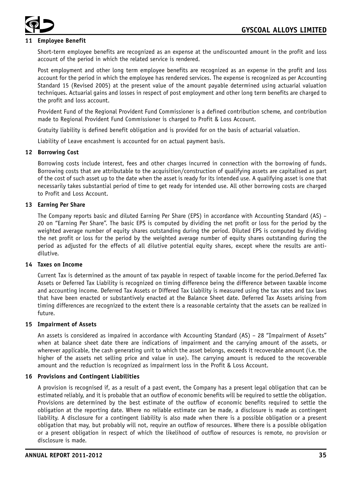

# **11 Employee Benefit**

Short-term employee benefits are recognized as an expense at the undiscounted amount in the profit and loss account of the period in which the related service is rendered.

Post employment and other long term employee benefits are recognized as an expense in the profit and loss account for the period in which the employee has rendered services. The expense is recognized as per Accounting Standard 15 (Revised 2005) at the present value of the amount payable determined using actuarial valuation techniques. Actuarial gains and losses in respect of post employment and other long term benefits are charged to the profit and loss account.

Provident Fund of the Regional Provident Fund Commissioner is a defined contribution scheme, and contribution made to Regional Provident Fund Commissioner is charged to Profit & Loss Account.

Gratuity liability is defined benefit obligation and is provided for on the basis of actuarial valuation.

Liability of Leave encashment is accounted for on actual payment basis.

#### **12 Borrowing Cost**

Borrowing costs include interest, fees and other charges incurred in connection with the borrowing of funds. Borrowing costs that are attributable to the acquisition/construction of qualifying assets are capitalised as part of the cost of such asset up to the date when the asset is ready for its intended use. A qualifying asset is one that necessarily takes substantial period of time to get ready for intended use. All other borrowing costs are charged to Profit and Loss Account.

## **13 Earning Per Share**

The Company reports basic and diluted Earning Per Share (EPS) in accordance with Accounting Standard (AS) – 20 on "Earning Per Share". The basic EPS is computed by dividing the net profit or loss for the period by the weighted average number of equity shares outstanding during the period. Diluted EPS is computed by dividing the net profit or loss for the period by the weighted average number of equity shares outstanding during the period as adjusted for the effects of all dilutive potential equity shares, except where the results are antidilutive.

#### **14 Taxes on Income**

Current Tax is determined as the amount of tax payable in respect of taxable income for the period.Deferred Tax Assets or Deferred Tax Liability is recognized on timing difference being the difference between taxable income and accounting income. Deferred Tax Assets or Differed Tax Liability is measured using the tax rates and tax laws that have been enacted or substantively enacted at the Balance Sheet date. Deferred Tax Assets arising from timing differences are recognized to the extent there is a reasonable certainty that the assets can be realized in future.

#### **15 Impairment of Assets**

An assets is considered as impaired in accordance with Accounting Standard (AS) – 28 "Impairment of Assets" when at balance sheet date there are indications of impairment and the carrying amount of the assets, or wherever applicable, the cash generating unit to which the asset belongs, exceeds it recoverable amount (i.e. the higher of the assets net selling price and value in use). The carrying amount is reduced to the recoverable amount and the reduction is recognized as impairment loss in the Profit & Loss Account.

#### **16 Provisions and Contingent Liabilities**

A provision is recognised if, as a result of a past event, the Company has a present legal obligation that can be estimated reliably, and it is probable that an outflow of economic benefits will be required to settle the obligation. Provisions are determined by the best estimate of the outflow of economic benefits required to settle the obligation at the reporting date. Where no reliable estimate can be made, a disclosure is made as contingent liability. A disclosure for a contingent liability is also made when there is a possible obligation or a present obligation that may, but probably will not, require an outflow of resources. Where there is a possible obligation or a present obligation in respect of which the likelihood of outflow of resources is remote, no provision or disclosure is made.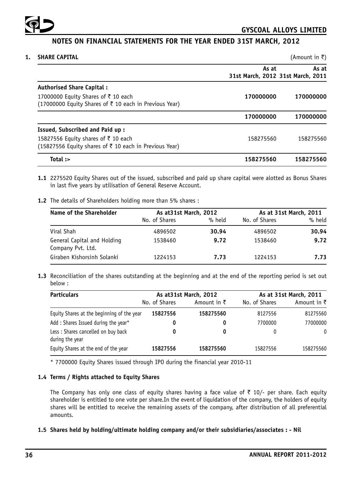

# **NOTES ON FINANCIAL STATEMENTS FOR THE YEAR ENDED 31ST MARCH, 2012**

| 1. | <b>SHARE CAPITAL</b>                                                                         |                                            | (Amount in ₹) |
|----|----------------------------------------------------------------------------------------------|--------------------------------------------|---------------|
|    |                                                                                              | As at<br>31st March, 2012 31st March, 2011 | As at         |
|    | <b>Authorised Share Capital:</b>                                                             |                                            |               |
|    | 17000000 Equity Shares of ₹10 each<br>(17000000 Equity Shares of ₹ 10 each in Previous Year) | 170000000                                  | 170000000     |
|    |                                                                                              | 170000000                                  | 170000000     |
|    | Issued, Subscribed and Paid up:                                                              |                                            |               |
|    | 15827556 Equity shares of ₹10 each<br>(15827556 Equity shares of ₹ 10 each in Previous Year) | 158275560                                  | 158275560     |
|    | Total :>                                                                                     | 158275560                                  | 158275560     |

- **1.1** 2275520 Equity Shares out of the issued, subscribed and paid up share capital were alotted as Bonus Shares in last five years by utilisation of General Reserve Account.
- **1.2** The details of Shareholders holding more than 5% shares :

| Name of the Shareholder                          | As at 31st March, 2012 |        | As at 31st March, 2011 |        |
|--------------------------------------------------|------------------------|--------|------------------------|--------|
|                                                  | No. of Shares          | % held | No. of Shares          | % held |
| Viral Shah                                       | 4896502                | 30.94  | 4896502                | 30.94  |
| General Capital and Holding<br>Company Pvt. Ltd. | 1538460                | 9.72   | 1538460                | 9.72   |
| Giraben Kishorsinh Solanki                       | 1224153                | 7.73   | 1224153                | 7.73   |

**1.3** Reconciliation of the shares outstanding at the beginning and at the end of the reporting period is set out below :

| <b>Particulars</b>                                     |               | As at 31st March, 2012 |               | As at 31st March, 2011 |  |  |
|--------------------------------------------------------|---------------|------------------------|---------------|------------------------|--|--|
|                                                        | No. of Shares | Amount in $\bar{\tau}$ | No. of Shares | Amount in $\bar{\tau}$ |  |  |
| Equity Shares at the beginning of the year             | 15827556      | 158275560              | 8127556       | 81275560               |  |  |
| Add: Shares Issued during the year*                    | 0             | 0                      | 7700000       | 77000000               |  |  |
| Less : Shares cancelled on buy back<br>during the year |               | 0                      | 0             | 0                      |  |  |
| Equity Shares at the end of the year                   | 15827556      | 158275560              | 15827556      | 158275560              |  |  |

\* 7700000 Equity Shares issued through IPO during the financial year 2010-11

# **1.4 Terms / Rights attached to Equity Shares**

The Company has only one class of equity shares having a face value of  $\bar{\tau}$  10/- per share. Each equity shareholder is entitled to one vote per share.In the event of liquidation of the company, the holders of equity shares will be entitled to receive the remaining assets of the company, after distribution of all preferential amounts.

## **1.5 Shares held by holding/ultimate holding company and/or their subsidiaries/associates : - Nil**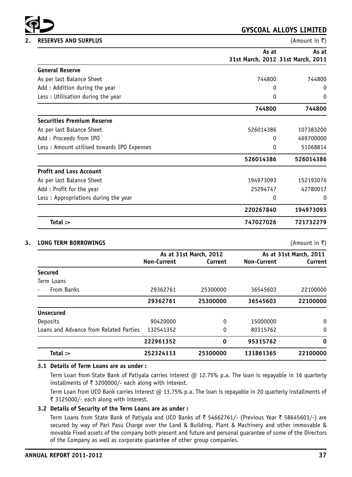

|                                             | As at                             | As at     |
|---------------------------------------------|-----------------------------------|-----------|
|                                             | 31st March, 2012 31st March, 2011 |           |
| <b>General Reserve</b>                      |                                   |           |
| As per last Balance Sheet                   | 744800                            | 744800    |
| Add: Addition during the year               | 0                                 | 0         |
| Less: Utilisation during the year           | 0                                 | 0         |
|                                             | 744800                            | 744800    |
| <b>Securities Premium Reserve</b>           |                                   |           |
| As per last Balance Sheet                   | 526014386                         | 107383200 |
| Add: Proceeds from IPO                      | 0                                 | 469700000 |
| Less : Amount utilised towards IPO Expenses | 0                                 | 51068814  |
|                                             | 526014386                         | 526014386 |
| <b>Profit and Loss Account</b>              |                                   |           |
| As per last Balance Sheet                   | 194973093                         | 152193076 |
| Add: Profit for the year                    | 25294747                          | 42780017  |
| Less: Appropriations during the year        | 0                                 | 0         |
|                                             | 220267840                         | 194973093 |
| Total :>                                    | 747027026                         | 721732279 |

#### **3. LONG TERM BORROWINGS** (Amount in ₹)

| As at 31st March, 2012        |          |             | As at 31st March, 2011 |  |
|-------------------------------|----------|-------------|------------------------|--|
| <b>Non-Current</b><br>Current |          | Non-Current | Current                |  |
|                               |          |             |                        |  |
|                               |          |             |                        |  |
| 29362761                      | 25300000 | 36545603    | 22100000               |  |
| 29362761                      | 25300000 | 36545603    | 22100000               |  |
|                               |          |             |                        |  |
| 90420000                      | 0        | 15000000    | $\mathbf{0}$           |  |
| 132541352                     | 0        | 80315762    | 0                      |  |
| 222961352                     | 0        | 95315762    | 0                      |  |
| 252324113                     | 25300000 | 131861365   | 22100000               |  |
|                               |          |             |                        |  |

# **3.1 Details of Term Loans are as under :**

Term Loan from State Bank of Patiyala carries interest @ 12.75% p.a. The loan is repayable in 16 quarterly installments of  $\bar{\tau}$  3200000/- each along with interest.

Term Loan from UCO Bank carries interest @ 13.75% p.a. The loan is repayable in 20 quarterly installments of ₹ 3125000/- each along with interest.

# **3.2 Details of Security of the Term Loans are as under :**

Term Loans from State Bank of Patiyala and UCO Banks of ₹ 54662761/- (Previous Year ₹ 58645603/-) are secured by way of Pari Pasu Charge over the Land & Building, Plant & Machinery and other immovable & movable Fixed assets of the company both present and future and personal guarantee of some of the Directors of the Company as well as corporate guarantee of other group companies.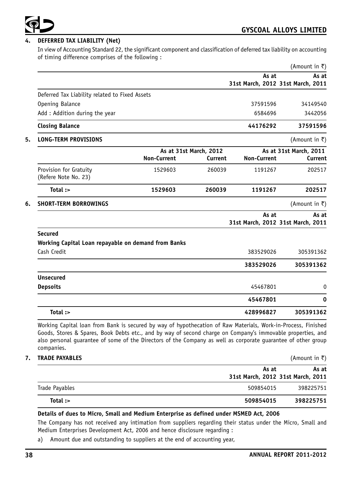

# **4. DEFERRED TAX LIABILITY (Net)**

In view of Accounting Standard 22, the significant component and classification of deferred tax liability on accounting of timing difference comprises of the following :

|                                                     |                    |                        |                                            | (Amount in ₹)          |
|-----------------------------------------------------|--------------------|------------------------|--------------------------------------------|------------------------|
|                                                     |                    |                        | As at<br>31st March, 2012 31st March, 2011 | As at                  |
| Deferred Tax Liability related to Fixed Assets      |                    |                        |                                            |                        |
| Opening Balance                                     |                    |                        | 37591596                                   | 34149540               |
| Add: Addition during the year                       |                    |                        | 6584696                                    | 3442056                |
| <b>Closing Balance</b>                              |                    |                        | 44176292                                   | 37591596               |
| <b>LONG-TERM PROVISIONS</b>                         |                    |                        |                                            | (Amount in ₹)          |
|                                                     |                    | As at 31st March, 2012 |                                            | As at 31st March, 2011 |
|                                                     | <b>Non-Current</b> | Current                | <b>Non-Current</b>                         | Current                |
| Provision for Gratuity<br>(Refere Note No. 23)      | 1529603            | 260039                 | 1191267                                    | 202517                 |
| Total:                                              | 1529603            | 260039                 | 1191267                                    | 202517                 |
| <b>SHORT-TERM BORROWINGS</b>                        |                    |                        |                                            | (Amount in $\bar{z}$ ) |
|                                                     |                    |                        | As at<br>31st March, 2012 31st March, 2011 | As at                  |
| <b>Secured</b>                                      |                    |                        |                                            |                        |
| Working Capital Loan repayable on demand from Banks |                    |                        |                                            |                        |
| Cash Credit                                         |                    |                        | 383529026                                  | 305391362              |
|                                                     |                    |                        | 383529026                                  | 305391362              |
| <b>Unsecured</b>                                    |                    |                        |                                            |                        |
| <b>Depsoits</b>                                     |                    |                        | 45467801                                   | 0                      |
|                                                     |                    |                        | 45467801                                   | 0                      |
| Total :>                                            |                    |                        | 428996827                                  | 305391362              |

| <b>TRADE PAYABLES</b> |                                            | (Amount in ₹) |  |  |
|-----------------------|--------------------------------------------|---------------|--|--|
|                       | As at<br>31st March, 2012 31st March, 2011 | As at         |  |  |
| Trade Payables        | 509854015                                  | 398225751     |  |  |
| Total:                | 509854015                                  | 398225751     |  |  |

# **Details of dues to Micro, Small and Medium Enterprise as defined under MSMED Act, 2006**

The Company has not received any intimation from suppliers regarding their status under the Micro, Small and Medium Enterprises Development Act, 2006 and hence disclosure regarding :

a) Amount due and outstanding to suppliers at the end of accounting year,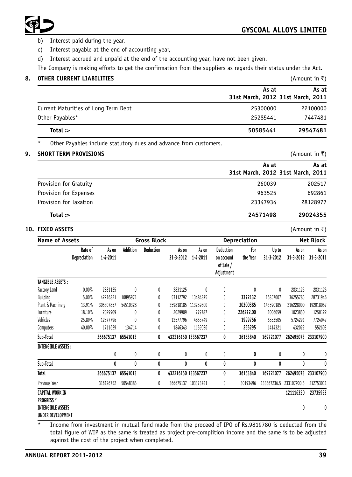

- b) Interest paid during the year,
- c) Interest payable at the end of accounting year,
- d) Interest accrued and unpaid at the end of the accounting year, have not been given.

The Company is making efforts to get the confirmation from the suppliers as regards their status under the Act.

| <b>OTHER CURRENT LIABILITIES</b>     |                                            | (Amount in ₹) |
|--------------------------------------|--------------------------------------------|---------------|
|                                      | As at<br>31st March, 2012 31st March, 2011 | As at         |
| Current Maturities of Long Term Debt | 25300000                                   | 22100000      |
| Other Payables*                      | 25285441                                   | 7447481       |
| Total $:$                            | 50585441                                   | 29547481      |
|                                      |                                            |               |

Other Payables include statutory dues and advance from customers.

#### **9. SHORT TERM PROVISIONS** (Amount in ₹)

|                        | As at                             | As at    |
|------------------------|-----------------------------------|----------|
|                        | 31st March, 2012 31st March, 2011 |          |
| Provision for Gratuity | 260039                            | 202517   |
| Provision for Expenses | 963525                            | 692861   |
| Provision for Taxation | 23347934                          | 28128977 |
| Total :>               | 24571498                          | 29024355 |

#### **10. FIXED ASSETS** (Amount in ₹)

| Name of Assets                                |                         |                   |          | <b>Gross Block</b> |                     |                   |                                                    | Depreciation    |                    |                    | <b>Net Block</b>   |
|-----------------------------------------------|-------------------------|-------------------|----------|--------------------|---------------------|-------------------|----------------------------------------------------|-----------------|--------------------|--------------------|--------------------|
|                                               | Rate of<br>Depreciation | As on<br>1-4-2011 | Addition | Deduction          | As on<br>31-3-2012  | As on<br>1-4-2011 | Deduction<br>on account<br>of Sale /<br>Adjustment | For<br>the Year | Up to<br>31-3-2012 | As on<br>31-3-2012 | As on<br>31-3-2011 |
| <b>TANGIBLE ASSETS:</b>                       |                         |                   |          |                    |                     |                   |                                                    |                 |                    |                    |                    |
| Factory Land                                  | 0.00%                   | 2831125           | 0        | 0                  | 2831125             | 0                 | 0                                                  | 0               | 0                  | 2831125            | 2831125            |
| Building                                      | 5.00%                   | 42216821          | 10895971 | 0                  | 53112792            | 13484875          | 0                                                  | 3372132         | 16857007           | 36255785           | 28731946           |
| Plant & Machinery                             | 13.91%                  | 305307857         | 54510328 | 0                  | 359818185           | 113289800         | 0                                                  | 30300385        | 143590185          | 216228000          | 192018057          |
| Furniture                                     | 18.10%                  | 2029909           | 0        | 0                  | 2029909             | 779787            | 0                                                  | 226272.00       | 1006059            | 1023850            | 1250122            |
| Vehicles                                      | 25.89%                  | 12577796          | 0        | 0                  | 12577796            | 4853749           | 0                                                  | 1999756         | 6853505            | 5724291            | 7724047            |
| Computers                                     | 40.00%                  | 1711629           | 134714   | 0                  | 1846343             | 1159026           | 0                                                  | 255295          | 1414321            | 432022             | 552603             |
| Sub-Total                                     |                         | 366675137         | 65541013 | 0                  | 432216150 133567237 |                   | 0                                                  | 36153840        | 169721077          | 262495073          | 233107900          |
| <b>INTENGIBLE ASSETS:</b>                     |                         |                   |          |                    |                     |                   |                                                    |                 |                    |                    |                    |
|                                               |                         | 0                 | 0        | 0                  | 0                   | 0                 | 0                                                  | 0               | 0                  | 0                  | 0                  |
| Sub-Total                                     |                         | 0                 | 0        | 0                  | 0                   | 0                 | 0                                                  | 0               | 0                  | 0                  | 0                  |
| Total                                         |                         | 366675137         | 65541013 | 0                  | 432216150 133567237 |                   | 0                                                  | 36153840        | 169721077          | 262495073          | 233107900          |
| Previous Year                                 |                         | 316126752         | 50548385 | 0                  | 366675137           | 103373741         | 0                                                  | 30193496        | 133567236.5        | 233107900.5        | 212753011          |
| <b>CAPITAL WORK IN</b><br><b>PROGRESS *</b>   |                         |                   |          |                    |                     |                   |                                                    |                 |                    | 121116320          | 23735923           |
| <b>INTENGIBLE ASSETS</b><br>UNDER DEVELOPMENT |                         |                   |          |                    |                     |                   |                                                    |                 |                    | 0                  | 0                  |

\* Income from investment in mutual fund made from the proceed of IPO of Rs.9819780 is deducted from the total figure of WIP as the same is treated as project pre-complition income and the same is to be adjusted against the cost of the project when completed.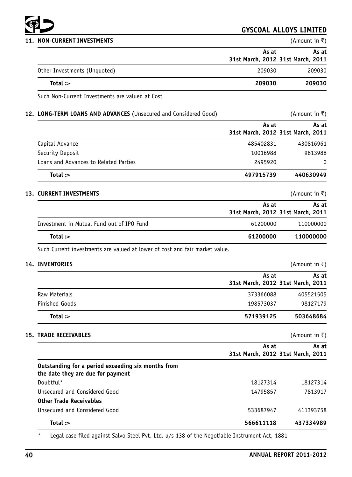

| 11. NON-CURRENT INVESTMENTS  |                                            | (Amount in ₹) |
|------------------------------|--------------------------------------------|---------------|
|                              | As at<br>31st March, 2012 31st March, 2011 | As at         |
| Other Investments (Unquoted) | 209030                                     | 209030        |
| Total :>                     | 209030                                     | 209030        |

Such Non-Current Investments are valued at Cost

# **12. LONG-TERM LOANS AND ADVANCES** (Unsecured and Considered Good) (Amount in ₹)

|                                       | As at     | As at                             |  |
|---------------------------------------|-----------|-----------------------------------|--|
|                                       |           | 31st March, 2012 31st March, 2011 |  |
| Capital Advance                       | 485402831 | 430816961                         |  |
| Security Deposit                      | 10016988  | 9813988                           |  |
| Loans and Advances to Related Parties | 2495920   | 0                                 |  |
| Total :>                              | 497915739 | 440630949                         |  |

# **13. CURRENT INVESTMENTS** (Amount in ₹)

|                                           | As at                             | As at     |
|-------------------------------------------|-----------------------------------|-----------|
|                                           | 31st March, 2012 31st March, 2011 |           |
| Investment in Mutual Fund out of IPO Fund | 61200000                          | 110000000 |
| Total :>                                  | 61200000                          | 110000000 |

Such Current investments are valued at lower of cost and fair market value.

# **14. INVENTORIES** (Amount in ₹)

|                       | As at<br>31st March, 2012 31st March, 2011 | As at     |
|-----------------------|--------------------------------------------|-----------|
| Raw Materials         | 373366088                                  | 405521505 |
| <b>Finished Goods</b> | 198573037                                  | 98127179  |
| Total:                | 571939125                                  | 503648684 |

|                                                                                         | As at                             | As at     |
|-----------------------------------------------------------------------------------------|-----------------------------------|-----------|
|                                                                                         | 31st March, 2012 31st March, 2011 |           |
| Outstanding for a period exceeding six months from<br>the date they are due for payment |                                   |           |
| Doubtful*                                                                               | 18127314                          | 18127314  |
| Unsecured and Considered Good                                                           | 14795857                          | 7813917   |
| <b>Other Trade Receivables</b>                                                          |                                   |           |
| Unsecured and Considered Good                                                           | 533687947                         | 411393758 |
| Total $:$                                                                               | 566611118                         | 437334989 |

Legal case filed against Salvo Steel Pvt. Ltd. u/s 138 of the Negotiable Instrument Act, 1881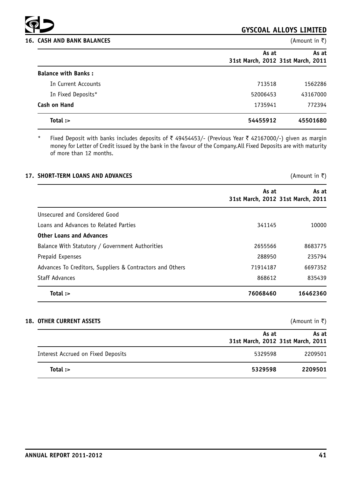

#### **16. CASH AND BANK BALANCES** (Amount in ₹)

# **GYSCOAL ALLOYS LIMITED**

|                            | As at                             | As at    |
|----------------------------|-----------------------------------|----------|
|                            | 31st March, 2012 31st March, 2011 |          |
| <b>Balance with Banks:</b> |                                   |          |
| In Current Accounts        | 713518                            | 1562286  |
| In Fixed Deposits*         | 52006453                          | 43167000 |
| <b>Cash on Hand</b>        | 1735941                           | 772394   |
| Total :>                   | 54455912                          | 45501680 |

\* Fixed Deposit with banks includes deposits of  $\bar{z}$  49454453/- (Previous Year  $\bar{z}$  42167000/-) given as margin money for Letter of Credit issued by the bank in the favour of the Company.All Fixed Deposits are with maturity of more than 12 months.

| <b>17. SHORT-TERM LOANS AND ADVANCES</b>                  |          | (Amount in ₹)                              |
|-----------------------------------------------------------|----------|--------------------------------------------|
|                                                           | As at    | As at<br>31st March, 2012 31st March, 2011 |
| Unsecured and Considered Good                             |          |                                            |
| Loans and Advances to Related Parties                     | 341145   | 10000                                      |
| <b>Other Loans and Advances</b>                           |          |                                            |
| Balance With Statutory / Government Authorities           | 2655566  | 8683775                                    |
| Prepaid Expenses                                          | 288950   | 235794                                     |
| Advances To Creditors, Suppliers & Contractors and Others | 71914187 | 6697352                                    |
| <b>Staff Advances</b>                                     | 868612   | 835439                                     |
| Total :>                                                  | 76068460 | 16462360                                   |

#### **18. OTHER CURRENT ASSETS** (Amount in ₹)

|                                    | As at<br>31st March, 2012 31st March, 2011 | As at   |
|------------------------------------|--------------------------------------------|---------|
| Interest Accrued on Fixed Deposits | 5329598                                    | 2209501 |
| Total :>                           | 5329598                                    | 2209501 |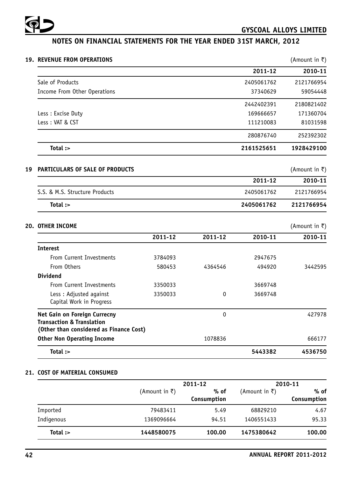

# **NOTES ON FINANCIAL STATEMENTS FOR THE YEAR ENDED 31ST MARCH, 2012**

| (Amount in ₹) |            |              |         | 19. REVENUE FROM OPERATIONS                                                                                     |
|---------------|------------|--------------|---------|-----------------------------------------------------------------------------------------------------------------|
| 2010-11       | 2011-12    |              |         |                                                                                                                 |
| 2121766954    | 2405061762 |              |         | Sale of Products                                                                                                |
| 59054448      | 37340629   |              |         | Income From Other Operations                                                                                    |
| 2180821402    | 2442402391 |              |         |                                                                                                                 |
| 171360704     | 169666657  |              |         | Less : Excise Duty                                                                                              |
| 81031598      | 111210083  |              |         | Less: VAT & CST                                                                                                 |
| 252392302     | 280876740  |              |         |                                                                                                                 |
| 1928429100    | 2161525651 |              |         | Total :>                                                                                                        |
| (Amount in ₹) |            |              |         | PARTICULARS OF SALE OF PRODUCTS                                                                                 |
| 2010-11       | 2011-12    |              |         |                                                                                                                 |
| 2121766954    | 2405061762 |              |         | S.S. & M.S. Structure Products                                                                                  |
| 2121766954    | 2405061762 |              |         | Total :>                                                                                                        |
| (Amount in ₹) |            |              |         | <b>20. OTHER INCOME</b>                                                                                         |
| 2010-11       | 2010-11    | 2011-12      | 2011-12 |                                                                                                                 |
|               |            |              |         | <b>Interest</b>                                                                                                 |
|               |            |              |         |                                                                                                                 |
|               | 2947675    |              | 3784093 | From Current Investments                                                                                        |
| 3442595       | 494920     | 4364546      | 580453  | From Others                                                                                                     |
|               |            |              |         | <b>Dividend</b>                                                                                                 |
|               | 3669748    |              | 3350033 | From Current Investments                                                                                        |
|               | 3669748    | $\mathbf 0$  | 3350033 | Less: Adjusted against<br>Capital Work in Progress                                                              |
| 427978        |            | $\mathbf{0}$ |         | Net Gain on Foreign Currecny<br><b>Transaction &amp; Translation</b><br>(Other than considered as Finance Cost) |
| 666177        |            | 1078836      |         | <b>Other Non Operating Income</b>                                                                               |

# **21. COST OF MATERIAL CONSUMED**

|            |                  | 2011-12             |               | 2010-11             |
|------------|------------------|---------------------|---------------|---------------------|
|            | $(A$ mount in ₹) | % of<br>Consumption | (Amount in ₹) | % of<br>Consumption |
| Imported   | 79483411         | 5.49                | 68829210      | 4.67                |
| Indigenous | 1369096664       | 94.51               | 1406551433    | 95.33               |
| Total :>   | 1448580075       | 100.00              | 1475380642    | 100.00              |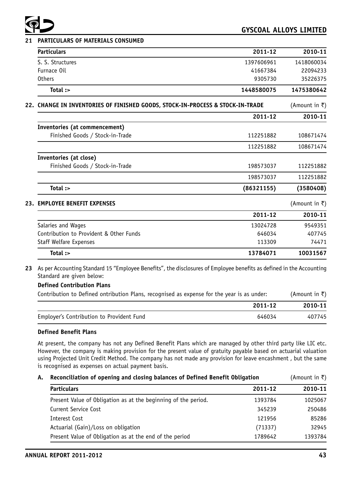

# **21 PARTICULARS OF MATERIALS CONSUMED**

|     | <b>Particulars</b>                                                         | 2011-12    | 2010-11       |
|-----|----------------------------------------------------------------------------|------------|---------------|
|     | S. S. Structures                                                           | 1397606961 | 1418060034    |
|     | Furnace Oil                                                                | 41667384   | 22094233      |
|     | <b>Others</b>                                                              | 9305730    | 35226375      |
|     | Total :>                                                                   | 1448580075 | 1475380642    |
| 22. | CHANGE IN INVENTORIES OF FINISHED GOODS, STOCK-IN-PROCESS & STOCK-IN-TRADE |            | (Amount in ₹) |
|     |                                                                            | 2011-12    | 2010-11       |
|     | Inventories (at commencement)                                              |            |               |
|     | Finished Goods / Stock-in-Trade                                            | 112251882  | 108671474     |
|     |                                                                            | 112251882  | 108671474     |
|     | Inventories (at close)                                                     |            |               |
|     | Finished Goods / Stock-in-Trade                                            | 198573037  | 112251882     |
|     |                                                                            | 198573037  | 112251882     |
|     | Total :>                                                                   | (86321155) | (3580408)     |
| 23. | <b>EMPLOYEE BENEFIT EXPENSES</b>                                           |            | (Amount in ₹) |
|     |                                                                            | 2011-12    | 2010-11       |
|     | Salaries and Wages                                                         | 13024728   | 9549351       |
|     | Contribution to Provident & Other Funds                                    | 646034     | 407745        |
|     | Staff Welfare Expenses                                                     | 113309     | 74471         |
|     | Total :>                                                                   | 13784071   | 10031567      |

**23** As per Accounting Standard 15 "Employee Benefits", the disclosures of Employee benefits as defined in the Accounting Standard are given below:

# **Defined Contribution Plans**

| Contribution to Defined ontribution Plans, recognised as expense for the year is as under: | (Amount in ₹) |
|--------------------------------------------------------------------------------------------|---------------|
| 2011-12                                                                                    | 2010-11       |
| Employer's Contribution to Provident Fund<br>646034                                        | 407745        |

#### **Defined Benefit Plans**

At present, the company has not any Defined Benefit Plans which are managed by other third party like LIC etc. However, the company is making provision for the present value of gratuity payable based on actuarial valuation using Projected Unit Credit Method. The company has not made any provision for leave encashment , but the same is recognised as expenses on actual payment basis.

| Reconciliation of opening and closing balances of Defined Benefit Obligation |         | (Amount in ₹) |
|------------------------------------------------------------------------------|---------|---------------|
| <b>Particulars</b>                                                           | 2011-12 | 2010-11       |
| Present Value of Obligation as at the beginning of the period.               | 1393784 | 1025067       |
| Current Service Cost                                                         | 345239  | 250486        |
| Interest Cost                                                                | 121956  | 85286         |
| Actuarial (Gain)/Loss on obligation                                          | (71337) | 32945         |
| Present Value of Obligation as at the end of the period                      | 1789642 | 1393784       |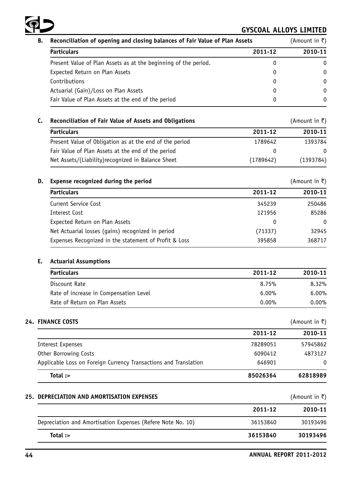

| В. | Reconciliation of opening and closing balances of Fair Value of Plan Assets | (Amount in ₹) |         |
|----|-----------------------------------------------------------------------------|---------------|---------|
|    | <b>Particulars</b>                                                          | 2011-12       | 2010-11 |
|    | Present Value of Plan Assets as at the beginning of the period.             | 0             | 0       |
|    | Expected Return on Plan Assets                                              | 0             | 0       |
|    | Contributions                                                               | 0             | 0       |
|    | Actuarial (Gain)/Loss on Plan Assets                                        | 0             | 0       |
|    | Fair Value of Plan Assets at the end of the period                          | 0             | 0       |

# C. Reconciliation of Fair Value of Assets and Obligations **and Solution Contract Contract** (Amount in ₹)

| <b>Particulars</b>                                      | 2011-12   | 2010-11      |
|---------------------------------------------------------|-----------|--------------|
| Present Value of Obligation as at the end of the period | 1789642   | 1393784      |
| Fair Value of Plan Assets at the end of the period      |           | <sup>0</sup> |
| Net Assets/(Liability) recognized in Balance Sheet      | (1789642) | (1393784)    |

# **D. Expense recognized during the period** and the set of the set of the set of the set of the set of the set of the set of the set of the set of the set of the set of the set of the set of the set of the set of the set

| <b>Particulars</b>                                    | 2011-12  | 2010-11  |  |
|-------------------------------------------------------|----------|----------|--|
| Current Service Cost                                  | 345239   | 250486   |  |
| Interest Cost                                         | 121956   | 85286    |  |
| Expected Return on Plan Assets                        | $\Omega$ | $\Omega$ |  |
| Net Actuarial losses (gains) recognized in period     | (71337)  | 32945    |  |
| Expenses Recognized in the statement of Profit & Loss | 395858   | 368717   |  |

## **E. Actuarial Assumptions**

| <b>Particulars</b>                     | 2011-12  | 2010-11  |
|----------------------------------------|----------|----------|
| Discount Rate                          | 8.75%    | $8.32\%$ |
| Rate of increase in Compensation Level | $6.00\%$ | $6.00\%$ |
| Rate of Return on Plan Assets          | $0.00\%$ | $0.00\%$ |

# **24. FINANCE COSTS** (Amount in ₹)

|                                                                  | 2011-12  | 2010-11  |
|------------------------------------------------------------------|----------|----------|
| Interest Expenses                                                | 78289051 | 57945862 |
| Other Borrowing Costs                                            | 6090412  | 4873127  |
| Applicable Loss on Foreign Currency Transactions and Translation | 646901   | $\Omega$ |
| Total :>                                                         | 85026364 | 62818989 |

# **25. DEPRECIATION AND AMORTISATION EXPENSES** (Amount in ₹)

| Total:                                                      | 36153840 | 30193496 |
|-------------------------------------------------------------|----------|----------|
| Depreciation and Amortisation Expenses (Refere Note No. 10) | 36153840 | 30193496 |
|                                                             | 2011-12  | 2010-11  |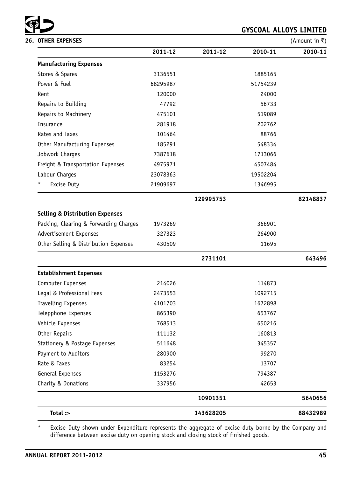

| <b>26. OTHER EXPENSES</b>                                  | (Amount in $\bar{z}$ ) |           |          |          |
|------------------------------------------------------------|------------------------|-----------|----------|----------|
|                                                            | 2011-12                | 2011-12   | 2010-11  | 2010-11  |
| <b>Manufacturing Expenses</b>                              |                        |           |          |          |
| Stores & Spares                                            | 3136551                |           | 1885165  |          |
| Power & Fuel                                               | 68295987               |           | 51754239 |          |
| Rent                                                       | 120000                 |           | 24000    |          |
| Repairs to Building                                        | 47792                  |           | 56733    |          |
| Repairs to Machinery                                       | 475101                 |           | 519089   |          |
| Insurance                                                  | 281918                 |           | 202762   |          |
| Rates and Taxes                                            | 101464                 |           | 88766    |          |
| Other Manufacturing Expenses                               | 185291                 |           | 548334   |          |
| Jobwork Charges                                            | 7387618                |           | 1713066  |          |
| Freight & Transportation Expenses                          | 4975971                |           | 4507484  |          |
| Labour Charges<br>23078363<br>*<br>Excise Duty<br>21909697 |                        |           | 19502204 |          |
|                                                            |                        |           | 1346995  |          |
|                                                            |                        | 129995753 |          | 82148837 |
| <b>Selling &amp; Distribution Expenses</b>                 |                        |           |          |          |
| Packing, Clearing & Forwarding Charges                     | 1973269                |           | 366901   |          |
| Advertisement Expenses                                     | 327323                 |           | 264900   |          |
| Other Selling & Distribution Expenses                      | 430509                 |           | 11695    |          |
|                                                            |                        | 2731101   |          | 643496   |
| <b>Establishment Expenses</b>                              |                        |           |          |          |
| Computer Expenses                                          | 214026                 |           | 114873   |          |
| Legal & Professional Fees                                  | 2473553                |           | 1092715  |          |
| <b>Travelling Expenses</b>                                 | 4101703                |           | 1672898  |          |
| Telepphone Expenses                                        | 865390                 |           | 653767   |          |
| Vehicle Expenses                                           | 768513                 |           | 650216   |          |
| Other Repairs                                              | 111132                 |           | 160813   |          |
| Stationery & Postage Expenses                              | 511648                 |           | 345357   |          |
| Payment to Auditors                                        | 280900                 |           | 99270    |          |
| Rate & Taxes                                               | 83254                  |           | 13707    |          |
| General Expenses                                           | 1153276                |           | 794387   |          |
| Charity & Donations                                        | 337956                 |           | 42653    |          |
|                                                            |                        | 10901351  |          | 5640656  |
| Total :>                                                   |                        | 143628205 |          | 88432989 |

\* Excise Duty shown under Expenditure represents the aggregate of excise duty borne by the Company and difference between excise duty on opening stock and closing stock of finished goods.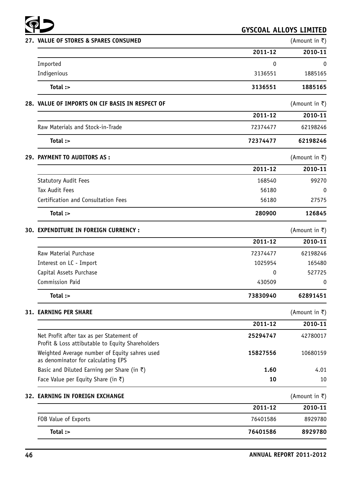

| 27. VALUE OF STORES & SPARES CONSUMED                                                        |          | (Amount in ₹) |
|----------------------------------------------------------------------------------------------|----------|---------------|
|                                                                                              | 2011-12  | 2010-11       |
| Imported                                                                                     | 0        | 0             |
| Indigenious                                                                                  | 3136551  | 1885165       |
| Total :>                                                                                     | 3136551  | 1885165       |
| 28. VALUE OF IMPORTS ON CIF BASIS IN RESPECT OF                                              |          | (Amount in ₹) |
|                                                                                              | 2011-12  | 2010-11       |
| Raw Materials and Stock-in-Trade                                                             | 72374477 | 62198246      |
| Total :>                                                                                     | 72374477 | 62198246      |
| <b>29. PAYMENT TO AUDITORS AS:</b>                                                           |          | (Amount in ₹) |
|                                                                                              | 2011-12  | 2010-11       |
| <b>Statutory Audit Fees</b>                                                                  | 168540   | 99270         |
| <b>Tax Audit Fees</b>                                                                        | 56180    | $\Omega$      |
| Certification and Consultation Fees                                                          | 56180    | 27575         |
| Total :>                                                                                     | 280900   | 126845        |
| 30. EXPENDITURE IN FOREIGN CURRENCY :                                                        |          | (Amount in ₹) |
|                                                                                              | 2011-12  | 2010-11       |
| Raw Material Purchase                                                                        | 72374477 | 62198246      |
| Interest on LC - Import                                                                      | 1025954  | 165480        |
| Capital Assets Purchase                                                                      | 0        | 527725        |
| Commission Paid                                                                              | 430509   | 0             |
| Total :>                                                                                     | 73830940 | 62891451      |
| <b>31. EARNING PER SHARE</b>                                                                 |          | (Amount in ₹) |
|                                                                                              | 2011-12  | 2010-11       |
| Net Profit after tax as per Statement of<br>Profit & Loss attibutable to Equity Shareholders | 25294747 | 42780017      |
| Weighted Average number of Equity sahres used<br>as denominator for calculating EPS          | 15827556 | 10680159      |
| Basic and Diluted Earning per Share (in $\bar{z}$ )                                          | 1.60     | 4.01          |
| Face Value per Equity Share (in ₹)                                                           | 10       | 10            |
| 32. EARNING IN FOREIGN EXCHANGE                                                              |          | (Amount in ₹) |
|                                                                                              | 2011-12  | 2010-11       |
| FOB Value of Exports                                                                         | 76401586 | 8929780       |
| Total :>                                                                                     | 76401586 | 8929780       |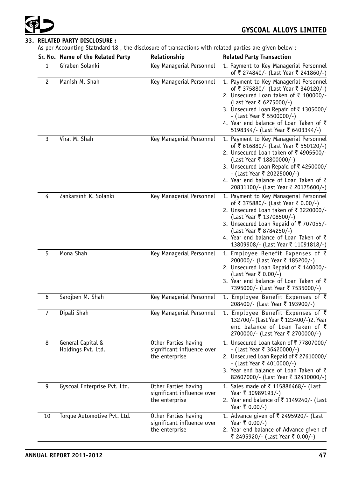# **33. RELATED PARTY DISCLOSURE :**

As per Accounting Statndard 18 , the disclosure of transactions with related parties are given below :

|                | Sr. No. Name of the Related Party       | Relationship                                                         | <b>Related Party Transaction</b>                                                                                                                                                                                                                                                                                       |
|----------------|-----------------------------------------|----------------------------------------------------------------------|------------------------------------------------------------------------------------------------------------------------------------------------------------------------------------------------------------------------------------------------------------------------------------------------------------------------|
| 1              | Giraben Solanki                         | Key Managerial Personnel                                             | 1. Payment to Key Managerial Personnel<br>of ₹ 274840/- (Last Year ₹ 241860/-)                                                                                                                                                                                                                                         |
| $\overline{c}$ | Manish M. Shah                          | Key Managerial Personnel                                             | 1. Payment to Key Managerial Personnel<br>of ₹ 375880/- (Last Year ₹ 340120/-)<br>2. Unsecured Loan taken of ₹ 100000/-<br>(Last Year ₹ 6275000/-)<br>3. Unsecured Loan Repaid of ₹1305000/<br>- (Last Year ₹ 5500000/-)<br>4. Year end balance of Loan Taken of $\bar{\tau}$<br>5198344/- (Last Year ₹ 6403344/-)     |
| 3              | Viral M. Shah                           | Key Managerial Personnel                                             | 1. Payment to Key Managerial Personnel<br>of ₹ 616880/- (Last Year ₹ 550120/-)<br>2. Unsecured Loan taken of ₹4905500/-<br>(Last Year ₹ 18800000/-)<br>3. Unsecured Loan Repaid of ₹4250000/<br>- (Last Year ₹ 20225000/-)<br>4. Year end balance of Loan Taken of $\bar{\tau}$<br>20831100/- (Last Year ₹ 20175600/-) |
| 4              | Zankarsinh K. Solanki                   | Key Managerial Personnel                                             | 1. Payment to Key Managerial Personnel<br>of ₹ 375880/- (Last Year ₹ 0.00/-)<br>2. Unsecured Loan taken of ₹ 3220000/-<br>(Last Year ₹ 13708500/-)<br>3. Unsecured Loan Repaid of ₹ 707055/-<br>(Last Year ₹ 8784250/-)<br>4. Year end balance of Loan Taken of $\bar{\tau}$<br>13809908/- (Last Year ₹ 11091818/-)    |
| 5              | Mona Shah                               | Key Managerial Personnel                                             | 1. Employee Benefit Expenses of ₹<br>200000/- (Last Year ₹ 185200/-)<br>2. Unsecured Loan Repaid of ₹ 140000/-<br>(Last Year ₹ 0.00/-)<br>3. Year end balance of Loan Taken of ₹<br>7395000/- (Last Year ₹ 7535000/-)                                                                                                  |
| 6              | Sarojben M. Shah                        | Key Managerial Personnel                                             | 1. Employee Benefit Expenses of $\bar{z}$<br>208400/- (Last Year ₹ 193900/-)                                                                                                                                                                                                                                           |
| 7              | Dipali Shah                             | Key Managerial Personnel                                             | 1. Employee Benefit Expenses of ₹<br>132700/- (Last Year ₹ 123400/-)2. Year<br>end balance of Loan Taken of ₹<br>2700000/- (Last Year ₹ 2700000/-)                                                                                                                                                                     |
| 8              | General Capital &<br>Holdings Pvt. Ltd. | Other Parties having<br>significant influence over<br>the enterprise | 1. Unsecured Loan taken of ₹77807000/<br>- (Last Year ₹ 36420000/-)<br>2. Unsecured Loan Repaid of ₹ 27610000/<br>- (Last Year ₹ 4010000/-)<br>3. Year end balance of Loan Taken of $\bar{\tau}$<br>82607000/- (Last Year ₹ 32410000/-)                                                                                |
| 9              | Gyscoal Enterprise Pvt. Ltd.            | Other Parties having<br>significant influence over<br>the enterprise | 1. Sales made of ₹ 115886468/- (Last<br>Year ₹ 30989193/-)<br>2. Year end balance of ₹ 1149240/- (Last<br>Year ₹ 0.00/-)                                                                                                                                                                                               |
| 10             | Torque Automotive Pvt. Ltd.             | Other Parties having<br>significant influence over<br>the enterprise | 1. Advance given of ₹ 2495920/- (Last<br>Year ₹ 0.00/-)<br>2. Year end balance of Advance given of<br>₹ 2495920/- (Last Year ₹ 0.00/-)                                                                                                                                                                                 |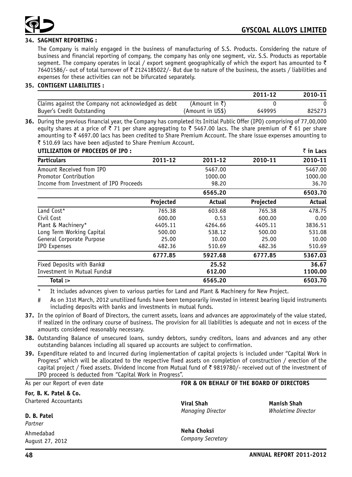

# **34. SAGMENT REPORTING :**

The Company is mainly engaged in the business of manufacturing of S.S. Products. Considering the nature of business and financial reporting of company, the company has only one segment, viz. S.S. Products as reportable segment. The company operates in local / export segment geographically of which the export has amounted to  $\bar{\tau}$ 76401586/- out of total turnover of  $\bar{\tau}$  2124185022/- But due to nature of the business, the assets / liabilities and expenses for these activities can not be bifurcated separately.

# **35. CONTIGENT LIABILITIES :**

|                                                     |                  | 2011-12 | 2010-11 |
|-----------------------------------------------------|------------------|---------|---------|
| Claims against the Company not acknowledged as debt | (Amount in ₹)    |         |         |
| Buyer's Credit Outstanding                          | (Amount in US\$) | 649995  | 825273  |

**36.** During the previous financial year, the Company has completed its Initial Public Offer (IPO) comprising of 77,00,000 equity shares at a price of  $\bar{\tau}$  71 per share aggregating to  $\bar{\tau}$  5467.00 lacs. The share premium of  $\bar{\tau}$  61 per share amounting to  $\bar{\tau}$  4697.00 lacs has been credited to Share Premium Account. The share issue expenses amounting to ₹ 510.69 lacs have been adjusted to Share Premium Account.

| UTILIZATION OF PROCEEDS OF IPO:        |           |         |           | ₹ in Lacs |
|----------------------------------------|-----------|---------|-----------|-----------|
| <b>Particulars</b>                     | 2011-12   | 2011-12 | 2010-11   | 2010-11   |
| Amount Received from IPO               |           | 5467.00 |           | 5467.00   |
| Promotor Contribution                  |           | 1000.00 |           | 1000.00   |
| Income from Investment of IPO Proceeds |           | 98.20   |           | 36.70     |
|                                        |           | 6565.20 |           | 6503.70   |
|                                        | Projected | Actual  | Projected | Actual    |
| Land Cost*                             | 765.38    | 603.68  | 765.38    | 478.75    |
| Civil Cost                             | 600.00    | 0.53    | 600.00    | 0.00      |
| Plant & Machinery*                     | 4405.11   | 4264.66 | 4405.11   | 3836.51   |
| Long Term Working Capital              | 500.00    | 538.12  | 500.00    | 531.08    |
| General Corporate Purpose              | 25.00     | 10.00   | 25.00     | 10.00     |
| IPO Expenses                           | 482.36    | 510.69  | 482.36    | 510.69    |
|                                        | 6777.85   | 5927.68 | 6777.85   | 5367.03   |
| Fixed Deposits with Bank#              |           | 25.52   |           | 36.67     |
| Investment in Mutual Funds#            |           | 612.00  |           | 1100.00   |
| Total :>                               |           | 6565.20 |           | 6503.70   |

It includes advances given to various parties for Land and Plant & Machinery for New Project.

# As on 31st March, 2012 unutilized funds have been temporarily invested in interest bearing liquid instruments including deposits with banks and investments in mutual funds.

- **37.** In the opinion of Board of Directors, the current assets, loans and advances are approximately of the value stated, if realized in the ordinary course of business. The provision for all liabilities is adequate and not in excess of the amounts considered reasonably necessary.
- **38.** Outstanding Balance of unsecured loans, sundry debtors, sundry creditors, loans and advances and any other outstanding balances including all squared up accounts are subject to confirmation.
- **39.** Expenditure related to and incurred during implementation of capital projects is included under "Capital Work in Progress" which will be allocated to the respective fixed assets on completion of construction / erection of the capital project / fixed assets. Dividend income from Mutual fund of  $\bar{\tau}$  9819780/- received out of the investment of IPO proceed is deducted from "Capital Work in Progress".

#### As per our Report of even date

#### **For, B. K. Patel & Co.** Chartered Accountants

#### **FOR & ON BEHALF OF THE BOARD OF DIRECTORS**

**Viral Shah Manish Shah** *Managing Director Wholetime Director*

*Partner* Ahmedabad August 27, 2012

**D. B. Patel**

**Neha Choksi** *Company Secretary*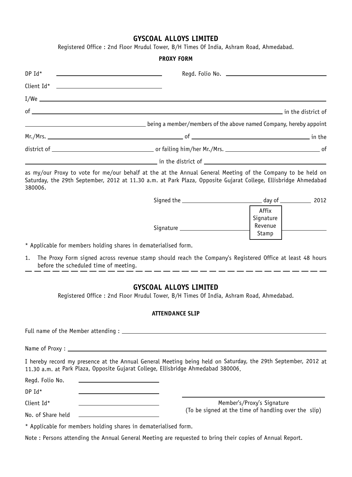Registered Office : 2nd Floor Mrudul Tower, B/H Times Of India, Ashram Road, Ahmedabad.

## **PROXY FORM**

|         | Client Id* <u>________________________________</u>                                                                                                                                                                                   |  |
|---------|--------------------------------------------------------------------------------------------------------------------------------------------------------------------------------------------------------------------------------------|--|
|         |                                                                                                                                                                                                                                      |  |
|         |                                                                                                                                                                                                                                      |  |
|         | being a member/members of the above named Company, hereby appoint                                                                                                                                                                    |  |
|         |                                                                                                                                                                                                                                      |  |
|         |                                                                                                                                                                                                                                      |  |
|         | <u>and the set of the set of the set of the set of the set of the set of the set of the set of the set of the set of the set of the set of the set of the set of the set of the set of the set of the set of the set of the set </u> |  |
| 380006. | as my/our Proxy to vote for me/our behalf at the at the Annual General Meeting of the Company to be held on<br>Saturday, the 29th September, 2012 at 11.30 a.m. at Park Plaza, Opposite Gujarat College, Ellisbridge Ahmedabad       |  |
|         |                                                                                                                                                                                                                                      |  |
|         | Affix<br>Signature                                                                                                                                                                                                                   |  |

\* Applicable for members holding shares in dematerialised form.

1. The Proxy Form signed across revenue stamp should reach the Company's Registered Office at least 48 hours before the scheduled time of meeting.

Signature

Revenue Stamp

# **GYSCOAL ALLOYS LIMITED**

Registered Office : 2nd Floor Mrudul Tower, B/H Times Of India, Ashram Road, Ahmedabad.

## **ATTENDANCE SLIP**

| 11.30 a.m. at Park Plaza, Opposite Gujarat College, Ellisbridge Ahmedabad 380006.                            | I hereby record my presence at the Annual General Meeting being held on Saturday, the 29th September, 2012 at |
|--------------------------------------------------------------------------------------------------------------|---------------------------------------------------------------------------------------------------------------|
| Regd. Folio No.<br>the control of the control of the control of the control of the control of the control of |                                                                                                               |
| $DPId*$                                                                                                      |                                                                                                               |
| Client Id*                                                                                                   | Member's/Proxy's Signature                                                                                    |
|                                                                                                              | (To be signed at the time of handling over the slip)                                                          |
| * Applicable for members holding shares in dematerialised form.                                              |                                                                                                               |
| Note: Persons attending the Annual General Meeting are requested to bring their copies of Annual Report.     |                                                                                                               |